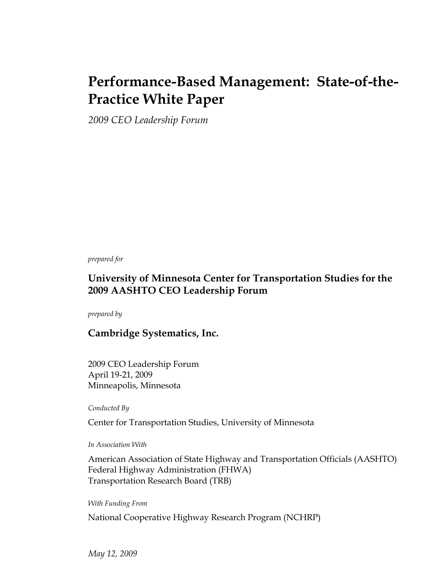## **Performance-Based Management: State-of-the-Practice White Paper**

*2009 CEO Leadership Forum* 

*prepared for* 

#### **University of Minnesota Center for Transportation Studies for the 2009 AASHTO CEO Leadership Forum**

*prepared by* 

#### **Cambridge Systematics, Inc.**

2009 CEO Leadership Forum April 19-21, 2009 Minneapolis, Minnesota

*Conducted By* 

Center for Transportation Studies, University of Minnesota

*In Association With* 

American Association of State Highway and Transportation Officials (AASHTO) Federal Highway Administration (FHWA) Transportation Research Board (TRB)

*With Funding From* 

National Cooperative Highway Research Program (NCHRP)

*May 12, 2009*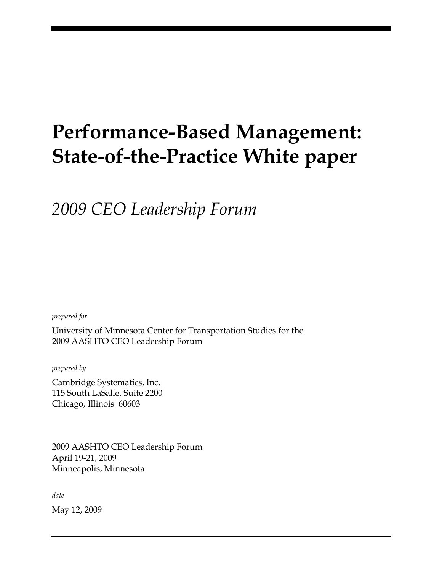# **Performance-Based Management: State-of-the-Practice White paper**

*2009 CEO Leadership Forum* 

*prepared for* 

University of Minnesota Center for Transportation Studies for the 2009 AASHTO CEO Leadership Forum

*prepared by* 

Cambridge Systematics, Inc. 115 South LaSalle, Suite 2200 Chicago, Illinois 60603

2009 AASHTO CEO Leadership Forum April 19-21, 2009 Minneapolis, Minnesota

*date* 

May 12, 2009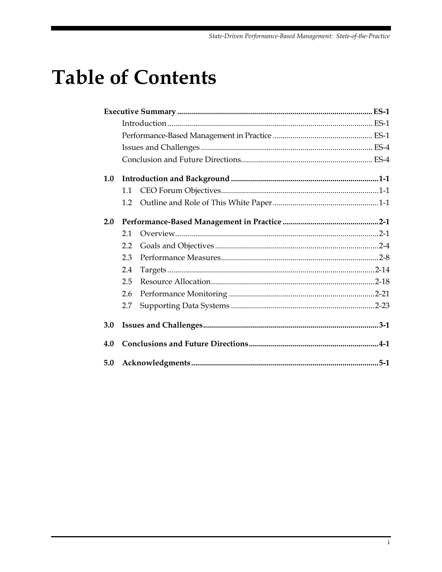## **Table of Contents**

| 1.0 |     |  |  |
|-----|-----|--|--|
|     | 1.1 |  |  |
|     | 1.2 |  |  |
| 2.0 |     |  |  |
|     | 2.1 |  |  |
|     | 2.2 |  |  |
|     | 2.3 |  |  |
|     | 2.4 |  |  |
|     | 2.5 |  |  |
|     | 2.6 |  |  |
|     | 2.7 |  |  |
| 3.0 |     |  |  |
| 4.0 |     |  |  |
| 5.0 |     |  |  |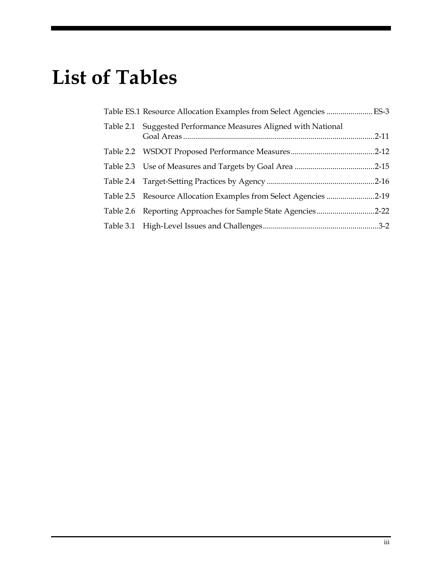# **List of Tables**

| Table ES.1 Resource Allocation Examples from Select Agencies  ES-3 |  |
|--------------------------------------------------------------------|--|
| Table 2.1 Suggested Performance Measures Aligned with National     |  |
|                                                                    |  |
|                                                                    |  |
|                                                                    |  |
| Table 2.5 Resource Allocation Examples from Select Agencies 2-19   |  |
| Table 2.6 Reporting Approaches for Sample State Agencies2-22       |  |
|                                                                    |  |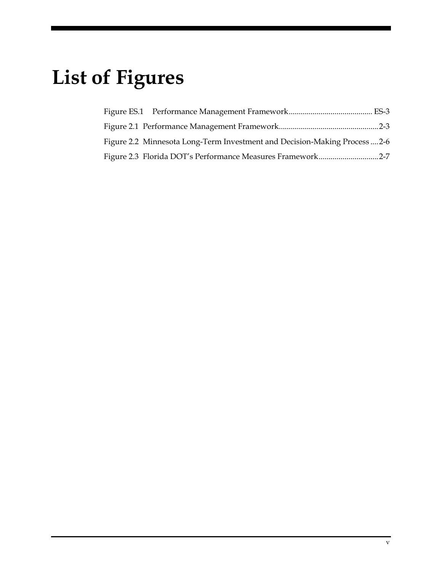# **List of Figures**

| Figure 2.2 Minnesota Long-Term Investment and Decision-Making Process  2-6 |  |
|----------------------------------------------------------------------------|--|
| Figure 2.3 Florida DOT's Performance Measures Framework2-7                 |  |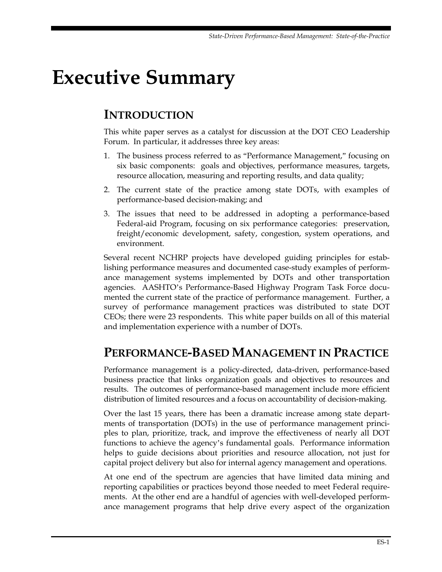# <span id="page-10-0"></span>**Executive Summary**

## **INTRODUCTION**

This white paper serves as a catalyst for discussion at the DOT CEO Leadership Forum. In particular, it addresses three key areas:

- 1. The business process referred to as "Performance Management," focusing on six basic components: goals and objectives, performance measures, targets, resource allocation, measuring and reporting results, and data quality;
- 2. The current state of the practice among state DOTs, with examples of performance-based decision-making; and
- 3. The issues that need to be addressed in adopting a performance-based Federal-aid Program, focusing on six performance categories: preservation, freight/economic development, safety, congestion, system operations, and environment.

Several recent NCHRP projects have developed guiding principles for establishing performance measures and documented case-study examples of performance management systems implemented by DOTs and other transportation agencies. AASHTO's Performance-Based Highway Program Task Force documented the current state of the practice of performance management. Further, a survey of performance management practices was distributed to state DOT CEOs; there were 23 respondents. This white paper builds on all of this material and implementation experience with a number of DOTs.

## **PERFORMANCE-BASED MANAGEMENT IN PRACTICE**

Performance management is a policy-directed, data-driven, performance-based business practice that links organization goals and objectives to resources and results. The outcomes of performance-based management include more efficient distribution of limited resources and a focus on accountability of decision-making.

Over the last 15 years, there has been a dramatic increase among state departments of transportation (DOTs) in the use of performance management principles to plan, prioritize, track, and improve the effectiveness of nearly all DOT functions to achieve the agency's fundamental goals. Performance information helps to guide decisions about priorities and resource allocation, not just for capital project delivery but also for internal agency management and operations.

At one end of the spectrum are agencies that have limited data mining and reporting capabilities or practices beyond those needed to meet Federal requirements. At the other end are a handful of agencies with well-developed performance management programs that help drive every aspect of the organization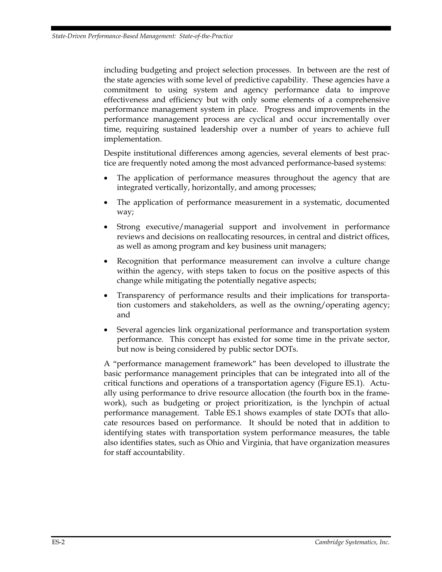including budgeting and project selection processes. In between are the rest of the state agencies with some level of predictive capability. These agencies have a commitment to using system and agency performance data to improve effectiveness and efficiency but with only some elements of a comprehensive performance management system in place. Progress and improvements in the performance management process are cyclical and occur incrementally over time, requiring sustained leadership over a number of years to achieve full implementation.

Despite institutional differences among agencies, several elements of best practice are frequently noted among the most advanced performance-based systems:

- The application of performance measures throughout the agency that are integrated vertically, horizontally, and among processes;
- The application of performance measurement in a systematic, documented way;
- Strong executive/managerial support and involvement in performance reviews and decisions on reallocating resources, in central and district offices, as well as among program and key business unit managers;
- Recognition that performance measurement can involve a culture change within the agency, with steps taken to focus on the positive aspects of this change while mitigating the potentially negative aspects;
- Transparency of performance results and their implications for transportation customers and stakeholders, as well as the owning/operating agency; and
- Several agencies link organizational performance and transportation system performance. This concept has existed for some time in the private sector, but now is being considered by public sector DOTs.

A "performance management framework" has been developed to illustrate the basic performance management principles that can be integrated into all of the critical functions and operations of a transportation agency (Figure ES.1). Actually using performance to drive resource allocation (the fourth box in the framework), such as budgeting or project prioritization, is the lynchpin of actual performance management. Table ES.1 shows examples of state DOTs that allocate resources based on performance. It should be noted that in addition to identifying states with transportation system performance measures, the table also identifies states, such as Ohio and Virginia, that have organization measures for staff accountability.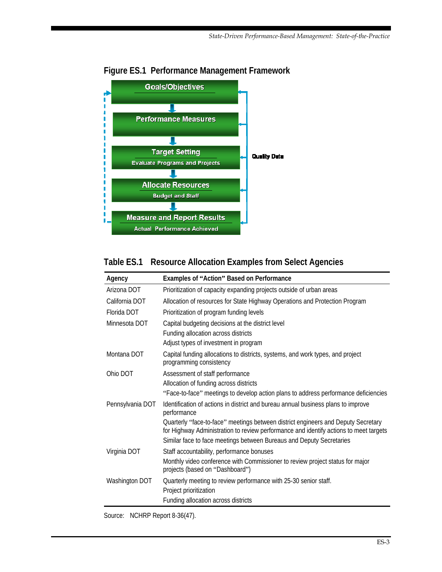

#### <span id="page-12-0"></span>**Figure ES.1 Performance Management Framework**

#### **Table ES.1 Resource Allocation Examples from Select Agencies**

| Agency                                                                                                                   | Examples of "Action" Based on Performance                                                                                                                                                                                                          |  |  |
|--------------------------------------------------------------------------------------------------------------------------|----------------------------------------------------------------------------------------------------------------------------------------------------------------------------------------------------------------------------------------------------|--|--|
| Arizona DOT                                                                                                              | Prioritization of capacity expanding projects outside of urban areas                                                                                                                                                                               |  |  |
| California DOT                                                                                                           | Allocation of resources for State Highway Operations and Protection Program                                                                                                                                                                        |  |  |
| Florida DOT                                                                                                              | Prioritization of program funding levels                                                                                                                                                                                                           |  |  |
| Minnesota DOT                                                                                                            | Capital budgeting decisions at the district level                                                                                                                                                                                                  |  |  |
|                                                                                                                          | Funding allocation across districts                                                                                                                                                                                                                |  |  |
|                                                                                                                          | Adjust types of investment in program                                                                                                                                                                                                              |  |  |
| Montana DOT<br>Capital funding allocations to districts, systems, and work types, and project<br>programming consistency |                                                                                                                                                                                                                                                    |  |  |
| Ohio DOT                                                                                                                 | Assessment of staff performance                                                                                                                                                                                                                    |  |  |
|                                                                                                                          | Allocation of funding across districts                                                                                                                                                                                                             |  |  |
|                                                                                                                          | "Face-to-face" meetings to develop action plans to address performance deficiencies                                                                                                                                                                |  |  |
| Pennsylvania DOT                                                                                                         | Identification of actions in district and bureau annual business plans to improve<br>performance                                                                                                                                                   |  |  |
|                                                                                                                          | Quarterly "face-to-face" meetings between district engineers and Deputy Secretary<br>for Highway Administration to review performance and identify actions to meet targets<br>Similar face to face meetings between Bureaus and Deputy Secretaries |  |  |
| Virginia DOT                                                                                                             | Staff accountability, performance bonuses                                                                                                                                                                                                          |  |  |
|                                                                                                                          | Monthly video conference with Commissioner to review project status for major<br>projects (based on "Dashboard")                                                                                                                                   |  |  |
| Washington DOT                                                                                                           | Quarterly meeting to review performance with 25-30 senior staff.                                                                                                                                                                                   |  |  |
|                                                                                                                          | Project prioritization                                                                                                                                                                                                                             |  |  |
|                                                                                                                          | Funding allocation across districts                                                                                                                                                                                                                |  |  |

Source: NCHRP Report 8-36(47).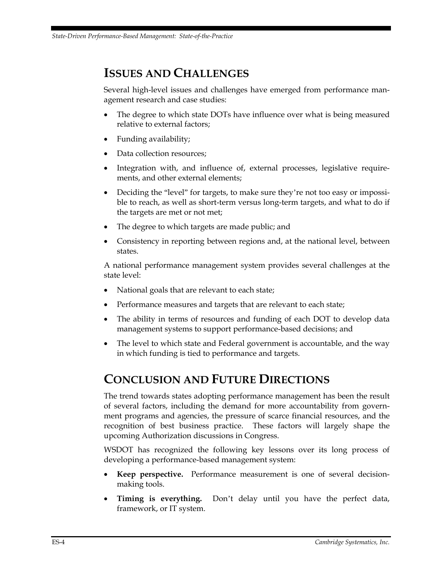## <span id="page-13-0"></span>**ISSUES AND CHALLENGES**

Several high-level issues and challenges have emerged from performance management research and case studies:

- The degree to which state DOTs have influence over what is being measured relative to external factors;
- Funding availability;
- Data collection resources;
- Integration with, and influence of, external processes, legislative requirements, and other external elements;
- Deciding the "level" for targets, to make sure they're not too easy or impossible to reach, as well as short-term versus long-term targets, and what to do if the targets are met or not met;
- The degree to which targets are made public; and
- Consistency in reporting between regions and, at the national level, between states.

A national performance management system provides several challenges at the state level:

- National goals that are relevant to each state;
- Performance measures and targets that are relevant to each state;
- The ability in terms of resources and funding of each DOT to develop data management systems to support performance-based decisions; and
- The level to which state and Federal government is accountable, and the way in which funding is tied to performance and targets.

## **CONCLUSION AND FUTURE DIRECTIONS**

The trend towards states adopting performance management has been the result of several factors, including the demand for more accountability from government programs and agencies, the pressure of scarce financial resources, and the recognition of best business practice. These factors will largely shape the upcoming Authorization discussions in Congress.

WSDOT has recognized the following key lessons over its long process of developing a performance-based management system:

- **Keep perspective.** Performance measurement is one of several decisionmaking tools.
- **Timing is everything.** Don't delay until you have the perfect data, framework, or IT system.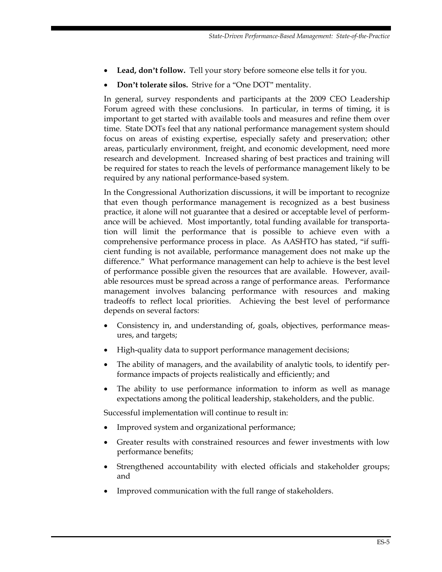- **Lead, don't follow.** Tell your story before someone else tells it for you.
- **Don't tolerate silos.** Strive for a "One DOT" mentality.

In general, survey respondents and participants at the 2009 CEO Leadership Forum agreed with these conclusions. In particular, in terms of timing, it is important to get started with available tools and measures and refine them over time. State DOTs feel that any national performance management system should focus on areas of existing expertise, especially safety and preservation; other areas, particularly environment, freight, and economic development, need more research and development. Increased sharing of best practices and training will be required for states to reach the levels of performance management likely to be required by any national performance-based system.

In the Congressional Authorization discussions, it will be important to recognize that even though performance management is recognized as a best business practice, it alone will not guarantee that a desired or acceptable level of performance will be achieved. Most importantly, total funding available for transportation will limit the performance that is possible to achieve even with a comprehensive performance process in place. As AASHTO has stated, "if sufficient funding is not available, performance management does not make up the difference." What performance management can help to achieve is the best level of performance possible given the resources that are available. However, available resources must be spread across a range of performance areas. Performance management involves balancing performance with resources and making tradeoffs to reflect local priorities. Achieving the best level of performance depends on several factors:

- Consistency in, and understanding of, goals, objectives, performance measures, and targets;
- High-quality data to support performance management decisions;
- The ability of managers, and the availability of analytic tools, to identify performance impacts of projects realistically and efficiently; and
- The ability to use performance information to inform as well as manage expectations among the political leadership, stakeholders, and the public.

Successful implementation will continue to result in:

- Improved system and organizational performance;
- Greater results with constrained resources and fewer investments with low performance benefits;
- Strengthened accountability with elected officials and stakeholder groups; and
- Improved communication with the full range of stakeholders.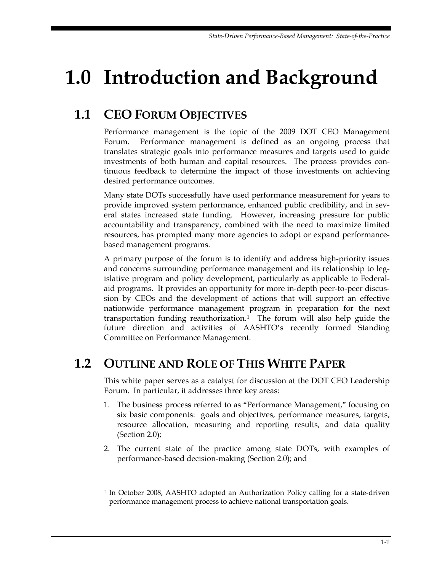# <span id="page-16-0"></span>**1.0 Introduction and Background**

## **1.1 CEO FORUM OBJECTIVES**

Performance management is the topic of the 2009 DOT CEO Management Forum. Performance management is defined as an ongoing process that translates strategic goals into performance measures and targets used to guide investments of both human and capital resources. The process provides continuous feedback to determine the impact of those investments on achieving desired performance outcomes.

Many state DOTs successfully have used performance measurement for years to provide improved system performance, enhanced public credibility, and in several states increased state funding. However, increasing pressure for public accountability and transparency, combined with the need to maximize limited resources, has prompted many more agencies to adopt or expand performancebased management programs.

A primary purpose of the forum is to identify and address high-priority issues and concerns surrounding performance management and its relationship to legislative program and policy development, particularly as applicable to Federalaid programs. It provides an opportunity for more in-depth peer-to-peer discussion by CEOs and the development of actions that will support an effective nationwide performance management program in preparation for the next transportation funding reauthorization.<sup>[1](#page-16-1)</sup> The forum will also help guide the future direction and activities of AASHTO's recently formed Standing Committee on Performance Management.

## **1.2 OUTLINE AND ROLE OF THIS WHITE PAPER**

 $\overline{a}$ 

This white paper serves as a catalyst for discussion at the DOT CEO Leadership Forum. In particular, it addresses three key areas:

- 1. The business process referred to as "Performance Management," focusing on six basic components: goals and objectives, performance measures, targets, resource allocation, measuring and reporting results, and data quality (Section 2.0);
- 2. The current state of the practice among state DOTs, with examples of performance-based decision-making (Section 2.0); and

<span id="page-16-1"></span><sup>1</sup> In October 2008, AASHTO adopted an Authorization Policy calling for a state-driven performance management process to achieve national transportation goals.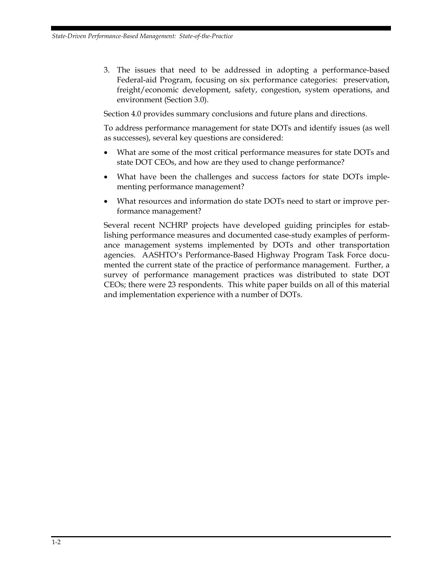3. The issues that need to be addressed in adopting a performance-based Federal-aid Program, focusing on six performance categories: preservation, freight/economic development, safety, congestion, system operations, and environment (Section 3.0).

Section 4.0 provides summary conclusions and future plans and directions.

To address performance management for state DOTs and identify issues (as well as successes), several key questions are considered:

- What are some of the most critical performance measures for state DOTs and state DOT CEOs, and how are they used to change performance?
- What have been the challenges and success factors for state DOTs implementing performance management?
- What resources and information do state DOTs need to start or improve performance management?

Several recent NCHRP projects have developed guiding principles for establishing performance measures and documented case-study examples of performance management systems implemented by DOTs and other transportation agencies. AASHTO's Performance-Based Highway Program Task Force documented the current state of the practice of performance management. Further, a survey of performance management practices was distributed to state DOT CEOs; there were 23 respondents. This white paper builds on all of this material and implementation experience with a number of DOTs.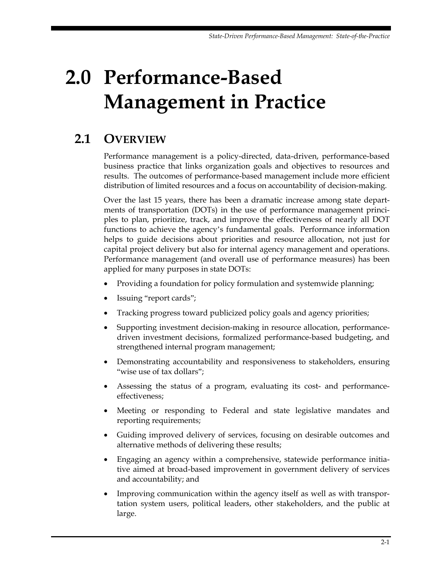# <span id="page-18-0"></span>**2.0 Performance-Based Management in Practice**

## **2.1 OVERVIEW**

Performance management is a policy-directed, data-driven, performance-based business practice that links organization goals and objectives to resources and results. The outcomes of performance-based management include more efficient distribution of limited resources and a focus on accountability of decision-making.

Over the last 15 years, there has been a dramatic increase among state departments of transportation (DOTs) in the use of performance management principles to plan, prioritize, track, and improve the effectiveness of nearly all DOT functions to achieve the agency's fundamental goals. Performance information helps to guide decisions about priorities and resource allocation, not just for capital project delivery but also for internal agency management and operations. Performance management (and overall use of performance measures) has been applied for many purposes in state DOTs:

- Providing a foundation for policy formulation and systemwide planning;
- Issuing "report cards";
- Tracking progress toward publicized policy goals and agency priorities;
- Supporting investment decision-making in resource allocation, performancedriven investment decisions, formalized performance-based budgeting, and strengthened internal program management;
- Demonstrating accountability and responsiveness to stakeholders, ensuring "wise use of tax dollars";
- Assessing the status of a program, evaluating its cost- and performanceeffectiveness;
- Meeting or responding to Federal and state legislative mandates and reporting requirements;
- Guiding improved delivery of services, focusing on desirable outcomes and alternative methods of delivering these results;
- Engaging an agency within a comprehensive, statewide performance initiative aimed at broad-based improvement in government delivery of services and accountability; and
- Improving communication within the agency itself as well as with transportation system users, political leaders, other stakeholders, and the public at large.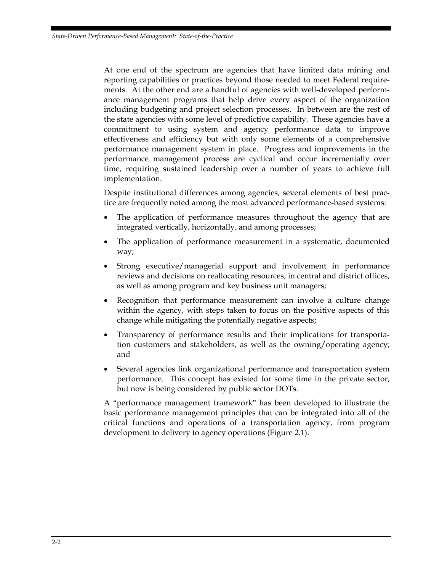At one end of the spectrum are agencies that have limited data mining and reporting capabilities or practices beyond those needed to meet Federal requirements. At the other end are a handful of agencies with well-developed performance management programs that help drive every aspect of the organization including budgeting and project selection processes. In between are the rest of the state agencies with some level of predictive capability. These agencies have a commitment to using system and agency performance data to improve effectiveness and efficiency but with only some elements of a comprehensive performance management system in place. Progress and improvements in the performance management process are cyclical and occur incrementally over time, requiring sustained leadership over a number of years to achieve full implementation.

Despite institutional differences among agencies, several elements of best practice are frequently noted among the most advanced performance-based systems:

- The application of performance measures throughout the agency that are integrated vertically, horizontally, and among processes;
- The application of performance measurement in a systematic, documented way;
- Strong executive/managerial support and involvement in performance reviews and decisions on reallocating resources, in central and district offices, as well as among program and key business unit managers;
- Recognition that performance measurement can involve a culture change within the agency, with steps taken to focus on the positive aspects of this change while mitigating the potentially negative aspects;
- Transparency of performance results and their implications for transportation customers and stakeholders, as well as the owning/operating agency; and
- Several agencies link organizational performance and transportation system performance. This concept has existed for some time in the private sector, but now is being considered by public sector DOTs.

A "performance management framework" has been developed to illustrate the basic performance management principles that can be integrated into all of the critical functions and operations of a transportation agency, from program development to delivery to agency operations (Figure 2.1).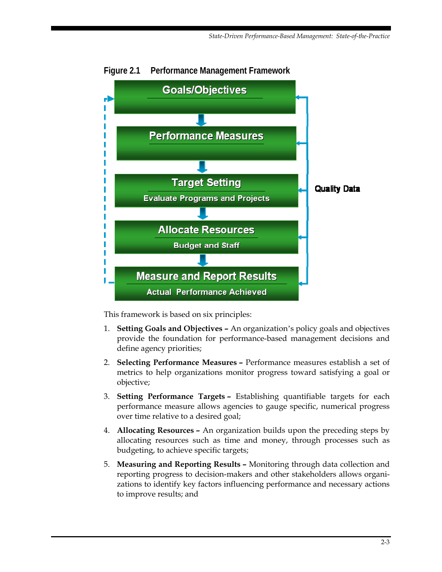

<span id="page-20-0"></span>**Figure 2.1 Performance Management Framework** 

This framework is based on six principles:

- 1. **Setting Goals and Objectives** An organization's policy goals and objectives provide the foundation for performance-based management decisions and define agency priorities;
- 2. **Selecting Performance Measures** Performance measures establish a set of metrics to help organizations monitor progress toward satisfying a goal or objective;
- 3. **Setting Performance Targets** Establishing quantifiable targets for each performance measure allows agencies to gauge specific, numerical progress over time relative to a desired goal;
- 4. **Allocating Resources** An organization builds upon the preceding steps by allocating resources such as time and money, through processes such as budgeting, to achieve specific targets;
- 5. **Measuring and Reporting Results** Monitoring through data collection and reporting progress to decision-makers and other stakeholders allows organizations to identify key factors influencing performance and necessary actions to improve results; and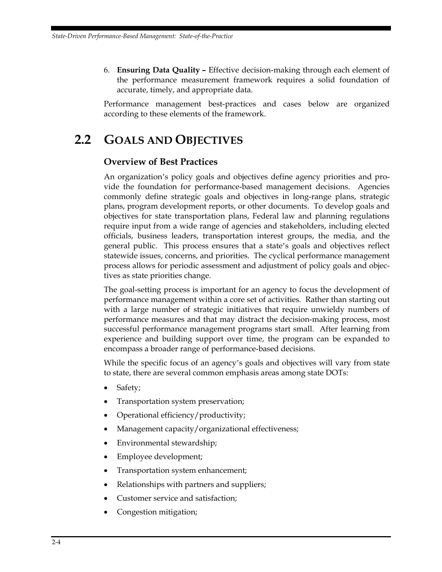<span id="page-21-0"></span>6. **Ensuring Data Quality –** Effective decision-making through each element of the performance measurement framework requires a solid foundation of accurate, timely, and appropriate data.

Performance management best-practices and cases below are organized according to these elements of the framework.

## **2.2 GOALS AND OBJECTIVES**

#### **Overview of Best Practices**

An organization's policy goals and objectives define agency priorities and provide the foundation for performance-based management decisions. Agencies commonly define strategic goals and objectives in long-range plans, strategic plans, program development reports, or other documents. To develop goals and objectives for state transportation plans, Federal law and planning regulations require input from a wide range of agencies and stakeholders, including elected officials, business leaders, transportation interest groups, the media, and the general public. This process ensures that a state's goals and objectives reflect statewide issues, concerns, and priorities. The cyclical performance management process allows for periodic assessment and adjustment of policy goals and objectives as state priorities change.

The goal-setting process is important for an agency to focus the development of performance management within a core set of activities. Rather than starting out with a large number of strategic initiatives that require unwieldy numbers of performance measures and that may distract the decision-making process, most successful performance management programs start small. After learning from experience and building support over time, the program can be expanded to encompass a broader range of performance-based decisions.

While the specific focus of an agency's goals and objectives will vary from state to state, there are several common emphasis areas among state DOTs:

- Safety;
- Transportation system preservation;
- Operational efficiency/productivity;
- Management capacity/organizational effectiveness;
- Environmental stewardship;
- Employee development;
- Transportation system enhancement;
- Relationships with partners and suppliers;
- Customer service and satisfaction;
- Congestion mitigation;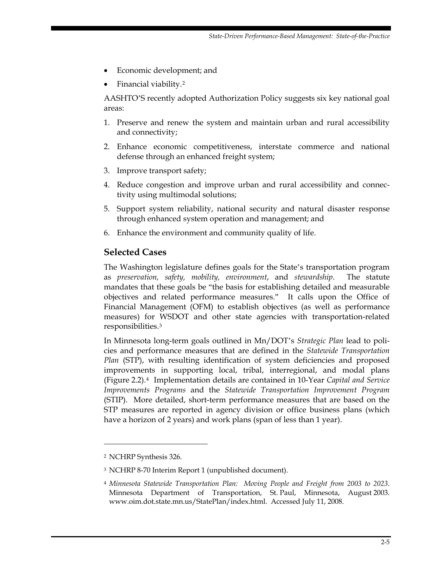- Economic development; and
- Financial viability.[2](#page-22-0)

AASHTO'S recently adopted Authorization Policy suggests six key national goal areas:

- 1. Preserve and renew the system and maintain urban and rural accessibility and connectivity;
- 2. Enhance economic competitiveness, interstate commerce and national defense through an enhanced freight system;
- 3. Improve transport safety;
- 4. Reduce congestion and improve urban and rural accessibility and connectivity using multimodal solutions;
- 5. Support system reliability, national security and natural disaster response through enhanced system operation and management; and
- 6. Enhance the environment and community quality of life.

#### **Selected Cases**

The Washington legislature defines goals for the State's transportation program as *preservation, safety, mobility, environment*, and *stewardship*. The statute mandates that these goals be "the basis for establishing detailed and measurable objectives and related performance measures." It calls upon the Office of Financial Management (OFM) to establish objectives (as well as performance measures) for WSDOT and other state agencies with transportation-related responsibilities.[3](#page-22-1)

In Minnesota long-term goals outlined in Mn/DOT's *Strategic Plan* lead to policies and performance measures that are defined in the *Statewide Transportation Plan* (STP), with resulting identification of system deficiencies and proposed improvements in supporting local, tribal, interregional, and modal plans (Figure 2.2).[4](#page-22-2) Implementation details are contained in 10-Year *Capital and Service Improvements Programs* and the *Statewide Transportation Improvement Program* (STIP). More detailed, short-term performance measures that are based on the STP measures are reported in agency division or office business plans (which have a horizon of 2 years) and work plans (span of less than 1 year).

<u>.</u>

<span id="page-22-0"></span><sup>2</sup> NCHRP Synthesis 326.

<span id="page-22-1"></span><sup>3</sup> NCHRP 8-70 Interim Report 1 (unpublished document).

<span id="page-22-2"></span><sup>4</sup> *Minnesota Statewide Transportation Plan: Moving People and Freight from 2003 to 2023*. Minnesota Department of Transportation, St. Paul, Minnesota, August 2003. www.oim.dot.state.mn.us/StatePlan/index.html. Accessed July 11, 2008.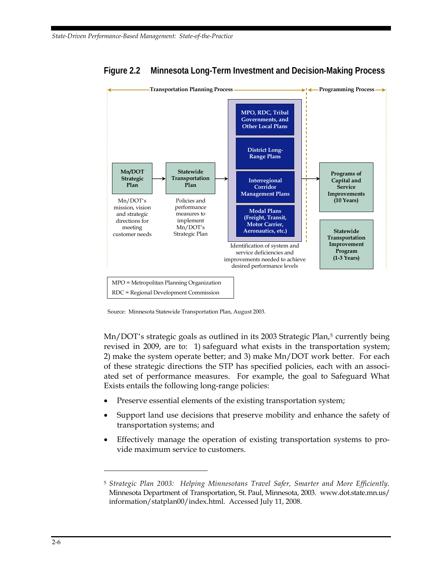

#### <span id="page-23-0"></span>**Figure 2.2 Minnesota Long-Term Investment and Decision-Making Process**

Source: Minnesota Statewide Transportation Plan, August 2003.

Mn/DOT's strategic goals as outlined in its 2003 Strategic Plan,<sup>[5](#page-23-1)</sup> currently being revised in 2009, are to: 1) safeguard what exists in the transportation system; 2) make the system operate better; and 3) make Mn/DOT work better. For each of these strategic directions the STP has specified policies, each with an associated set of performance measures. For example, the goal to Safeguard What Exists entails the following long-range policies:

- Preserve essential elements of the existing transportation system;
- Support land use decisions that preserve mobility and enhance the safety of transportation systems; and
- Effectively manage the operation of existing transportation systems to provide maximum service to customers.

<u>.</u>

<span id="page-23-1"></span><sup>5</sup> *Strategic Plan 2003: Helping Minnesotans Travel Safer, Smarter and More Efficiently*. Minnesota Department of Transportation, St. Paul, Minnesota, 2003. www.dot.state.mn.us/ information/statplan00/index.html. Accessed July 11, 2008.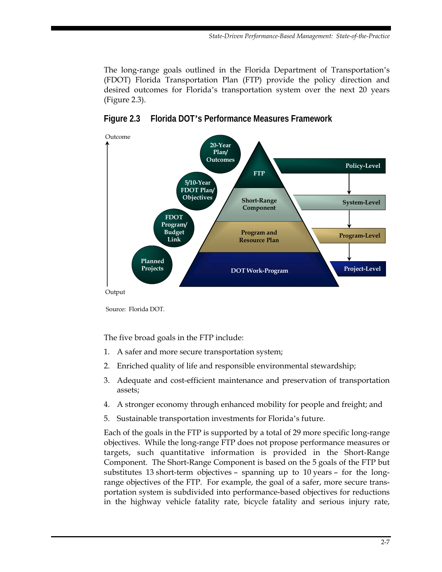<span id="page-24-0"></span>The long-range goals outlined in the Florida Department of Transportation's (FDOT) Florida Transportation Plan (FTP) provide the policy direction and desired outcomes for Florida's transportation system over the next 20 years (Figure 2.3).





Source: Florida DOT.

The five broad goals in the FTP include:

- 1. A safer and more secure transportation system;
- 2. Enriched quality of life and responsible environmental stewardship;
- 3. Adequate and cost-efficient maintenance and preservation of transportation assets;
- 4. A stronger economy through enhanced mobility for people and freight; and
- 5. Sustainable transportation investments for Florida's future.

Each of the goals in the FTP is supported by a total of 29 more specific long-range objectives. While the long-range FTP does not propose performance measures or targets, such quantitative information is provided in the Short-Range Component. The Short-Range Component is based on the 5 goals of the FTP but substitutes 13 short-term objectives – spanning up to 10 years – for the longrange objectives of the FTP. For example, the goal of a safer, more secure transportation system is subdivided into performance-based objectives for reductions in the highway vehicle fatality rate, bicycle fatality and serious injury rate,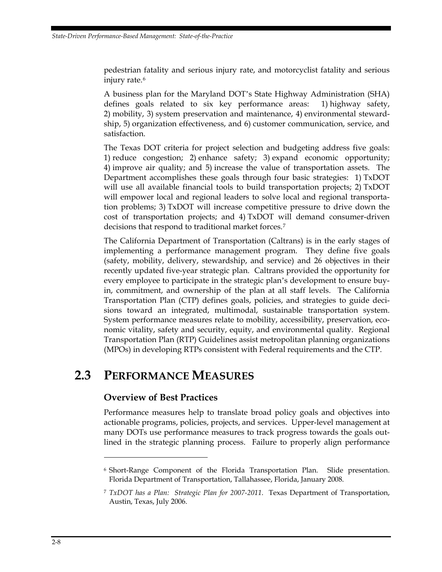<span id="page-25-0"></span>pedestrian fatality and serious injury rate, and motorcyclist fatality and serious injury rate.<sup>[6](#page-25-1)</sup>

A business plan for the Maryland DOT's State Highway Administration (SHA) defines goals related to six key performance areas: 1) highway safety, 2) mobility, 3) system preservation and maintenance, 4) environmental stewardship, 5) organization effectiveness, and 6) customer communication, service, and satisfaction.

The Texas DOT criteria for project selection and budgeting address five goals: 1) reduce congestion; 2) enhance safety; 3) expand economic opportunity; 4) improve air quality; and 5) increase the value of transportation assets. The Department accomplishes these goals through four basic strategies: 1) TxDOT will use all available financial tools to build transportation projects; 2) TxDOT will empower local and regional leaders to solve local and regional transportation problems; 3) TxDOT will increase competitive pressure to drive down the cost of transportation projects; and 4) TxDOT will demand consumer-driven decisions that respond to traditional market forces.[7](#page-25-2)

The California Department of Transportation (Caltrans) is in the early stages of implementing a performance management program. They define five goals (safety, mobility, delivery, stewardship, and service) and 26 objectives in their recently updated five-year strategic plan. Caltrans provided the opportunity for every employee to participate in the strategic plan's development to ensure buyin, commitment, and ownership of the plan at all staff levels. The California Transportation Plan (CTP) defines goals, policies, and strategies to guide decisions toward an integrated, multimodal, sustainable transportation system. System performance measures relate to mobility, accessibility, preservation, economic vitality, safety and security, equity, and environmental quality. Regional Transportation Plan (RTP) Guidelines assist metropolitan planning organizations (MPOs) in developing RTPs consistent with Federal requirements and the CTP.

## **2.3 PERFORMANCE MEASURES**

#### **Overview of Best Practices**

Performance measures help to translate broad policy goals and objectives into actionable programs, policies, projects, and services. Upper-level management at many DOTs use performance measures to track progress towards the goals outlined in the strategic planning process. Failure to properly align performance

 $\overline{a}$ 

<span id="page-25-1"></span><sup>6</sup> Short-Range Component of the Florida Transportation Plan. Slide presentation. Florida Department of Transportation, Tallahassee, Florida, January 2008.

<span id="page-25-2"></span><sup>7</sup> *TxDOT has a Plan: Strategic Plan for 2007-2011*. Texas Department of Transportation, Austin, Texas, July 2006.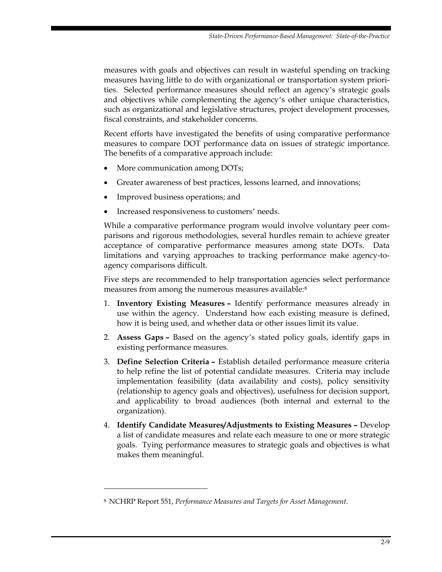measures with goals and objectives can result in wasteful spending on tracking measures having little to do with organizational or transportation system priorities. Selected performance measures should reflect an agency's strategic goals and objectives while complementing the agency's other unique characteristics, such as organizational and legislative structures, project development processes, fiscal constraints, and stakeholder concerns.

Recent efforts have investigated the benefits of using comparative performance measures to compare DOT performance data on issues of strategic importance. The benefits of a comparative approach include:

- More communication among DOTs;
- Greater awareness of best practices, lessons learned, and innovations;
- Improved business operations; and
- Increased responsiveness to customers' needs.

While a comparative performance program would involve voluntary peer comparisons and rigorous methodologies, several hurdles remain to achieve greater acceptance of comparative performance measures among state DOTs. Data limitations and varying approaches to tracking performance make agency-toagency comparisons difficult.

Five steps are recommended to help transportation agencies select performance measures from among the numerous measures available:<sup>[8](#page-26-0)</sup>

- 1. **Inventory Existing Measures –** Identify performance measures already in use within the agency. Understand how each existing measure is defined, how it is being used, and whether data or other issues limit its value.
- 2. **Assess Gaps –** Based on the agency's stated policy goals, identify gaps in existing performance measures.
- 3. **Define Selection Criteria** Establish detailed performance measure criteria to help refine the list of potential candidate measures. Criteria may include implementation feasibility (data availability and costs), policy sensitivity (relationship to agency goals and objectives), usefulness for decision support, and applicability to broad audiences (both internal and external to the organization).
- 4. **Identify Candidate Measures/Adjustments to Existing Measures** Develop a list of candidate measures and relate each measure to one or more strategic goals. Tying performance measures to strategic goals and objectives is what makes them meaningful.

-

<span id="page-26-0"></span><sup>8</sup> NCHRP Report 551, *Performance Measures and Targets for Asset Management*.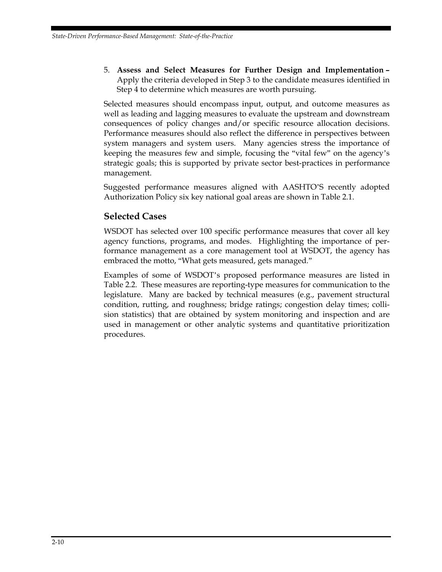5. **Assess and Select Measures for Further Design and Implementation –**  Apply the criteria developed in Step 3 to the candidate measures identified in Step 4 to determine which measures are worth pursuing.

Selected measures should encompass input, output, and outcome measures as well as leading and lagging measures to evaluate the upstream and downstream consequences of policy changes and/or specific resource allocation decisions. Performance measures should also reflect the difference in perspectives between system managers and system users. Many agencies stress the importance of keeping the measures few and simple, focusing the "vital few" on the agency's strategic goals; this is supported by private sector best-practices in performance management.

Suggested performance measures aligned with AASHTO'S recently adopted Authorization Policy six key national goal areas are shown in Table 2.1.

#### **Selected Cases**

WSDOT has selected over 100 specific performance measures that cover all key agency functions, programs, and modes. Highlighting the importance of performance management as a core management tool at WSDOT, the agency has embraced the motto, "What gets measured, gets managed."

Examples of some of WSDOT's proposed performance measures are listed in Table 2.2. These measures are reporting-type measures for communication to the legislature. Many are backed by technical measures (e.g., pavement structural condition, rutting, and roughness; bridge ratings; congestion delay times; collision statistics) that are obtained by system monitoring and inspection and are used in management or other analytic systems and quantitative prioritization procedures.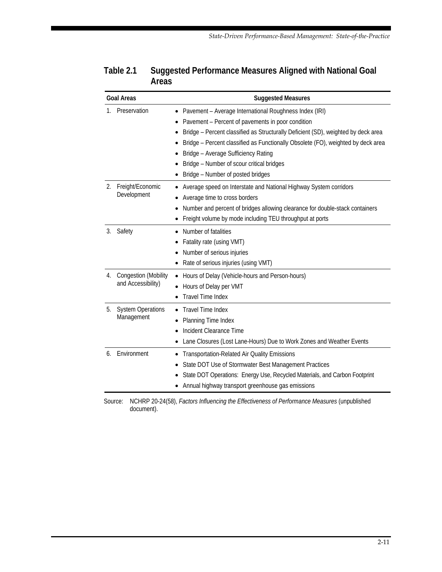|                    | <b>Goal Areas</b>                                 | <b>Suggested Measures</b>                                                                                                                                                                                                                                                                                                                                                                                          |  |  |
|--------------------|---------------------------------------------------|--------------------------------------------------------------------------------------------------------------------------------------------------------------------------------------------------------------------------------------------------------------------------------------------------------------------------------------------------------------------------------------------------------------------|--|--|
| Preservation<br>1. |                                                   | Pavement - Average International Roughness Index (IRI)<br>٠<br>Pavement - Percent of pavements in poor condition<br>Bridge - Percent classified as Structurally Deficient (SD), weighted by deck area<br>Bridge - Percent classified as Functionally Obsolete (FO), weighted by deck area<br>Bridge - Average Sufficiency Rating<br>Bridge - Number of scour critical bridges<br>Bridge - Number of posted bridges |  |  |
| 2.                 | Freight/Economic<br>Development                   | Average speed on Interstate and National Highway System corridors<br>Average time to cross borders<br>Number and percent of bridges allowing clearance for double-stack containers<br>Freight volume by mode including TEU throughput at ports                                                                                                                                                                     |  |  |
| 3.                 | Safety                                            | Number of fatalities<br>٠<br>Fatality rate (using VMT)<br>Number of serious injuries<br>Rate of serious injuries (using VMT)                                                                                                                                                                                                                                                                                       |  |  |
| 4.                 | <b>Congestion (Mobility</b><br>and Accessibility) | Hours of Delay (Vehicle-hours and Person-hours)<br>٠<br>Hours of Delay per VMT<br><b>Travel Time Index</b>                                                                                                                                                                                                                                                                                                         |  |  |
| 5.                 | <b>System Operations</b><br>Management            | Travel Time Index<br>Planning Time Index<br>Incident Clearance Time<br>Lane Closures (Lost Lane-Hours) Due to Work Zones and Weather Events                                                                                                                                                                                                                                                                        |  |  |
| 6.                 | Environment                                       | Transportation-Related Air Quality Emissions<br>State DOT Use of Stormwater Best Management Practices<br>State DOT Operations: Energy Use, Recycled Materials, and Carbon Footprint<br>Annual highway transport greenhouse gas emissions                                                                                                                                                                           |  |  |

<span id="page-28-0"></span>

| Table 2.1 | Suggested Performance Measures Aligned with National Goal |
|-----------|-----------------------------------------------------------|
|           | Areas                                                     |

Source: NCHRP 20-24(58), *Factors Influencing the Effectiveness of Performance Measures* (unpublished document).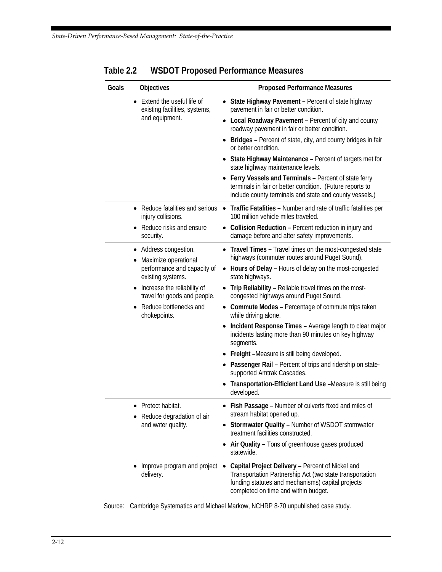| Goals | <b>Objectives</b>                                                        | <b>Proposed Performance Measures</b>                                                                                                                                                                                   |
|-------|--------------------------------------------------------------------------|------------------------------------------------------------------------------------------------------------------------------------------------------------------------------------------------------------------------|
|       | • Extend the useful life of<br>existing facilities, systems,             | • State Highway Pavement - Percent of state highway<br>pavement in fair or better condition.                                                                                                                           |
|       | and equipment.                                                           | • Local Roadway Pavement - Percent of city and county<br>roadway pavement in fair or better condition.                                                                                                                 |
|       |                                                                          | • Bridges - Percent of state, city, and county bridges in fair<br>or better condition.                                                                                                                                 |
|       |                                                                          | • State Highway Maintenance - Percent of targets met for<br>state highway maintenance levels.                                                                                                                          |
|       |                                                                          | Ferry Vessels and Terminals - Percent of state ferry<br>terminals in fair or better condition. (Future reports to<br>include county terminals and state and county vessels.)                                           |
|       | injury collisions.                                                       | • Reduce fatalities and serious • Traffic Fatalities - Number and rate of traffic fatalities per<br>100 million vehicle miles traveled.                                                                                |
|       | • Reduce risks and ensure<br>security.                                   | • Collision Reduction - Percent reduction in injury and<br>damage before and after safety improvements.                                                                                                                |
|       | • Address congestion.                                                    | • Travel Times - Travel times on the most-congested state                                                                                                                                                              |
|       | Maximize operational<br>performance and capacity of<br>existing systems. | highways (commuter routes around Puget Sound).<br>• Hours of Delay - Hours of delay on the most-congested<br>state highways.                                                                                           |
|       | Increase the reliability of<br>travel for goods and people.              | • Trip Reliability - Reliable travel times on the most-<br>congested highways around Puget Sound.                                                                                                                      |
|       | Reduce bottlenecks and<br>chokepoints.                                   | • Commute Modes - Percentage of commute trips taken<br>while driving alone.                                                                                                                                            |
|       |                                                                          | Incident Response Times - Average length to clear major<br>incidents lasting more than 90 minutes on key highway<br>segments.                                                                                          |
|       |                                                                          | Freight -Measure is still being developed.                                                                                                                                                                             |
|       |                                                                          | • Passenger Rail - Percent of trips and ridership on state-<br>supported Amtrak Cascades.                                                                                                                              |
|       |                                                                          | Transportation-Efficient Land Use -Measure is still being<br>developed.                                                                                                                                                |
|       | Protect habitat.<br>Reduce degradation of air                            | • Fish Passage - Number of culverts fixed and miles of<br>stream habitat opened up.                                                                                                                                    |
|       | and water quality.                                                       | • Stormwater Quality - Number of WSDOT stormwater<br>treatment facilities constructed.                                                                                                                                 |
|       |                                                                          | • Air Quality - Tons of greenhouse gases produced<br>statewide.                                                                                                                                                        |
|       | Improve program and project<br>delivery.                                 | Capital Project Delivery - Percent of Nickel and<br>$\bullet$<br>Transportation Partnership Act (two state transportation<br>funding statutes and mechanisms) capital projects<br>completed on time and within budget. |

<span id="page-29-0"></span>**Table 2.2 WSDOT Proposed Performance Measures** 

Source: Cambridge Systematics and Michael Markow, NCHRP 8-70 unpublished case study.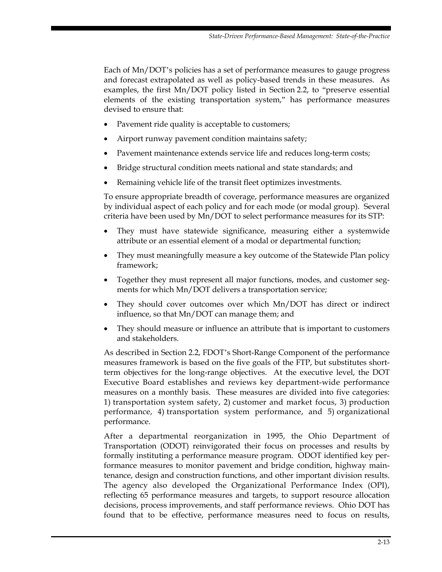Each of Mn/DOT's policies has a set of performance measures to gauge progress and forecast extrapolated as well as policy-based trends in these measures. As examples, the first Mn/DOT policy listed in Section 2.2, to "preserve essential elements of the existing transportation system," has performance measures devised to ensure that:

- Pavement ride quality is acceptable to customers;
- Airport runway pavement condition maintains safety;
- Pavement maintenance extends service life and reduces long-term costs;
- Bridge structural condition meets national and state standards; and
- Remaining vehicle life of the transit fleet optimizes investments.

To ensure appropriate breadth of coverage, performance measures are organized by individual aspect of each policy and for each mode (or modal group). Several criteria have been used by Mn/DOT to select performance measures for its STP:

- They must have statewide significance, measuring either a systemwide attribute or an essential element of a modal or departmental function;
- They must meaningfully measure a key outcome of the Statewide Plan policy framework;
- Together they must represent all major functions, modes, and customer segments for which Mn/DOT delivers a transportation service;
- They should cover outcomes over which Mn/DOT has direct or indirect influence, so that Mn/DOT can manage them; and
- They should measure or influence an attribute that is important to customers and stakeholders.

As described in Section 2.2, FDOT's Short-Range Component of the performance measures framework is based on the five goals of the FTP, but substitutes shortterm objectives for the long-range objectives. At the executive level, the DOT Executive Board establishes and reviews key department-wide performance measures on a monthly basis. These measures are divided into five categories: 1) transportation system safety, 2) customer and market focus, 3) production performance, 4) transportation system performance, and 5) organizational performance.

After a departmental reorganization in 1995, the Ohio Department of Transportation (ODOT) reinvigorated their focus on processes and results by formally instituting a performance measure program. ODOT identified key performance measures to monitor pavement and bridge condition, highway maintenance, design and construction functions, and other important division results. The agency also developed the Organizational Performance Index (OPI), reflecting 65 performance measures and targets, to support resource allocation decisions, process improvements, and staff performance reviews. Ohio DOT has found that to be effective, performance measures need to focus on results,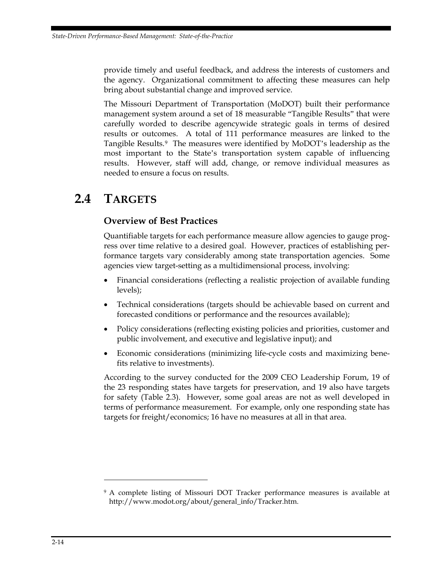<span id="page-31-0"></span>provide timely and useful feedback, and address the interests of customers and the agency. Organizational commitment to affecting these measures can help bring about substantial change and improved service.

The Missouri Department of Transportation (MoDOT) built their performance management system around a set of 18 measurable "Tangible Results" that were carefully worded to describe agencywide strategic goals in terms of desired results or outcomes. A total of 111 performance measures are linked to the Tangible Results.[9](#page-31-1) The measures were identified by MoDOT's leadership as the most important to the State's transportation system capable of influencing results. However, staff will add, change, or remove individual measures as needed to ensure a focus on results.

## **2.4 TARGETS**

#### **Overview of Best Practices**

Quantifiable targets for each performance measure allow agencies to gauge progress over time relative to a desired goal. However, practices of establishing performance targets vary considerably among state transportation agencies. Some agencies view target-setting as a multidimensional process, involving:

- Financial considerations (reflecting a realistic projection of available funding levels);
- Technical considerations (targets should be achievable based on current and forecasted conditions or performance and the resources available);
- Policy considerations (reflecting existing policies and priorities, customer and public involvement, and executive and legislative input); and
- Economic considerations (minimizing life-cycle costs and maximizing benefits relative to investments).

According to the survey conducted for the 2009 CEO Leadership Forum, 19 of the 23 responding states have targets for preservation, and 19 also have targets for safety (Table 2.3). However, some goal areas are not as well developed in terms of performance measurement. For example, only one responding state has targets for freight/economics; 16 have no measures at all in that area.

<u>.</u>

<span id="page-31-1"></span><sup>&</sup>lt;sup>9</sup> A complete listing of Missouri DOT Tracker performance measures is available at http://www.modot.org/about/general\_info/Tracker.htm.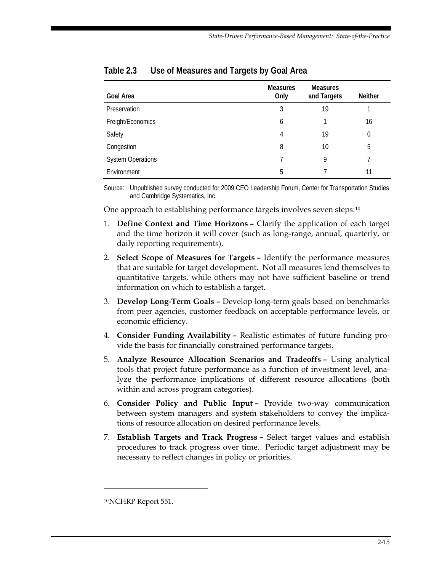| <b>Goal Area</b>         | <b>Measures</b><br>Only | <b>Measures</b><br>and Targets | <b>Neither</b> |
|--------------------------|-------------------------|--------------------------------|----------------|
| Preservation             | 3                       | 19                             |                |
| Freight/Economics        | 6                       |                                | 16             |
| Safety                   | 4                       | 19                             | $\theta$       |
| Congestion               | 8                       | 10                             | 5              |
| <b>System Operations</b> |                         | 9                              |                |
| Environment              | 5                       |                                | 11             |

#### <span id="page-32-0"></span>**Table 2.3 Use of Measures and Targets by Goal Area**

Source: Unpublished survey conducted for 2009 CEO Leadership Forum, Center for Transportation Studies and Cambridge Systematics, Inc.

One approach to establishing performance targets involves seven steps:<sup>[10](#page-32-1)</sup>

- 1. **Define Context and Time Horizons –** Clarify the application of each target and the time horizon it will cover (such as long-range, annual, quarterly, or daily reporting requirements).
- 2. **Select Scope of Measures for Targets** Identify the performance measures that are suitable for target development. Not all measures lend themselves to quantitative targets, while others may not have sufficient baseline or trend information on which to establish a target.
- 3. **Develop Long-Term Goals –** Develop long-term goals based on benchmarks from peer agencies, customer feedback on acceptable performance levels, or economic efficiency.
- 4. **Consider Funding Availability** Realistic estimates of future funding provide the basis for financially constrained performance targets.
- 5. **Analyze Resource Allocation Scenarios and Tradeoffs** Using analytical tools that project future performance as a function of investment level, analyze the performance implications of different resource allocations (both within and across program categories).
- 6. **Consider Policy and Public Input** Provide two-way communication between system managers and system stakeholders to convey the implications of resource allocation on desired performance levels.
- 7. **Establish Targets and Track Progress** Select target values and establish procedures to track progress over time. Periodic target adjustment may be necessary to reflect changes in policy or priorities.

 $\ddot{\phantom{a}}$ 

<span id="page-32-1"></span><sup>10</sup> NCHRP Report 551.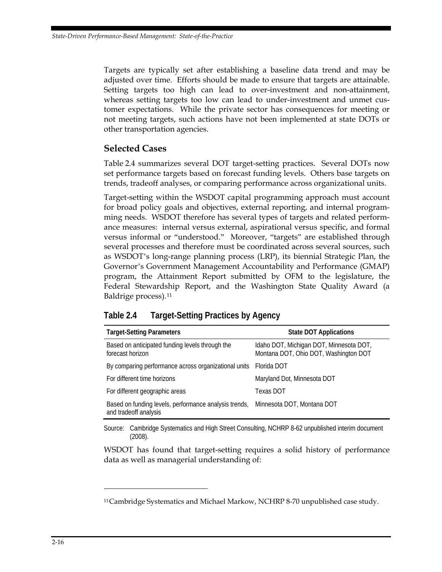<span id="page-33-0"></span>Targets are typically set after establishing a baseline data trend and may be adjusted over time. Efforts should be made to ensure that targets are attainable. Setting targets too high can lead to over-investment and non-attainment, whereas setting targets too low can lead to under-investment and unmet customer expectations. While the private sector has consequences for meeting or not meeting targets, such actions have not been implemented at state DOTs or other transportation agencies.

#### **Selected Cases**

Table 2.4 summarizes several DOT target-setting practices. Several DOTs now set performance targets based on forecast funding levels. Others base targets on trends, tradeoff analyses, or comparing performance across organizational units.

Target-setting within the WSDOT capital programming approach must account for broad policy goals and objectives, external reporting, and internal programming needs. WSDOT therefore has several types of targets and related performance measures: internal versus external, aspirational versus specific, and formal versus informal or "understood." Moreover, "targets" are established through several processes and therefore must be coordinated across several sources, such as WSDOT's long-range planning process (LRP), its biennial Strategic Plan, the Governor's Government Management Accountability and Performance (GMAP) program, the Attainment Report submitted by OFM to the legislature, the Federal Stewardship Report, and the Washington State Quality Award (a Baldrige process).[11](#page-33-1)

| Table 2.4 | <b>Target-Setting Practices by Agency</b> |  |
|-----------|-------------------------------------------|--|
|           |                                           |  |

| <b>Target-Setting Parameters</b>                                                                          | <b>State DOT Applications</b>                                                    |
|-----------------------------------------------------------------------------------------------------------|----------------------------------------------------------------------------------|
| Based on anticipated funding levels through the<br>forecast horizon                                       | Idaho DOT, Michigan DOT, Minnesota DOT,<br>Montana DOT, Ohio DOT, Washington DOT |
| By comparing performance across organizational units  Florida DOT                                         |                                                                                  |
| For different time horizons                                                                               | Maryland Dot, Minnesota DOT                                                      |
| For different geographic areas                                                                            | <b>Texas DOT</b>                                                                 |
| Based on funding levels, performance analysis trends, Minnesota DOT, Montana DOT<br>and tradeoff analysis |                                                                                  |

Source: Cambridge Systematics and High Street Consulting, NCHRP 8-62 unpublished interim document (2008).

WSDOT has found that target-setting requires a solid history of performance data as well as managerial understanding of:

 $\ddot{\phantom{a}}$ 

<span id="page-33-1"></span><sup>&</sup>lt;sup>11</sup> Cambridge Systematics and Michael Markow, NCHRP 8-70 unpublished case study.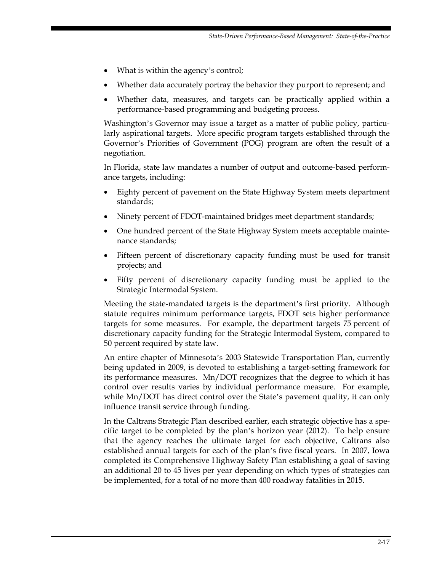- What is within the agency's control;
- Whether data accurately portray the behavior they purport to represent; and
- Whether data, measures, and targets can be practically applied within a performance-based programming and budgeting process.

Washington's Governor may issue a target as a matter of public policy, particularly aspirational targets. More specific program targets established through the Governor's Priorities of Government (POG) program are often the result of a negotiation.

In Florida, state law mandates a number of output and outcome-based performance targets, including:

- Eighty percent of pavement on the State Highway System meets department standards;
- Ninety percent of FDOT-maintained bridges meet department standards;
- One hundred percent of the State Highway System meets acceptable maintenance standards;
- Fifteen percent of discretionary capacity funding must be used for transit projects; and
- Fifty percent of discretionary capacity funding must be applied to the Strategic Intermodal System.

Meeting the state-mandated targets is the department's first priority. Although statute requires minimum performance targets, FDOT sets higher performance targets for some measures. For example, the department targets 75 percent of discretionary capacity funding for the Strategic Intermodal System, compared to 50 percent required by state law.

An entire chapter of Minnesota's 2003 Statewide Transportation Plan, currently being updated in 2009, is devoted to establishing a target-setting framework for its performance measures. Mn/DOT recognizes that the degree to which it has control over results varies by individual performance measure. For example, while Mn/DOT has direct control over the State's pavement quality, it can only influence transit service through funding.

In the Caltrans Strategic Plan described earlier, each strategic objective has a specific target to be completed by the plan's horizon year (2012). To help ensure that the agency reaches the ultimate target for each objective, Caltrans also established annual targets for each of the plan's five fiscal years. In 2007, Iowa completed its Comprehensive Highway Safety Plan establishing a goal of saving an additional 20 to 45 lives per year depending on which types of strategies can be implemented, for a total of no more than 400 roadway fatalities in 2015.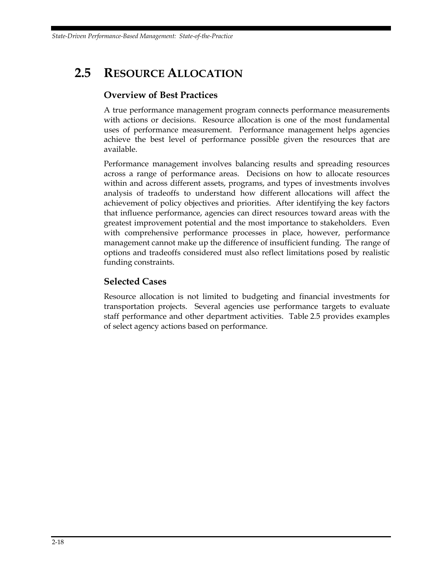<span id="page-35-0"></span>*State-Driven Performance-Based Management: State-of-the-Practice* 

## **2.5 RESOURCE ALLOCATION**

#### **Overview of Best Practices**

A true performance management program connects performance measurements with actions or decisions. Resource allocation is one of the most fundamental uses of performance measurement. Performance management helps agencies achieve the best level of performance possible given the resources that are available.

Performance management involves balancing results and spreading resources across a range of performance areas. Decisions on how to allocate resources within and across different assets, programs, and types of investments involves analysis of tradeoffs to understand how different allocations will affect the achievement of policy objectives and priorities. After identifying the key factors that influence performance, agencies can direct resources toward areas with the greatest improvement potential and the most importance to stakeholders. Even with comprehensive performance processes in place, however, performance management cannot make up the difference of insufficient funding. The range of options and tradeoffs considered must also reflect limitations posed by realistic funding constraints.

#### **Selected Cases**

Resource allocation is not limited to budgeting and financial investments for transportation projects. Several agencies use performance targets to evaluate staff performance and other department activities. Table 2.5 provides examples of select agency actions based on performance.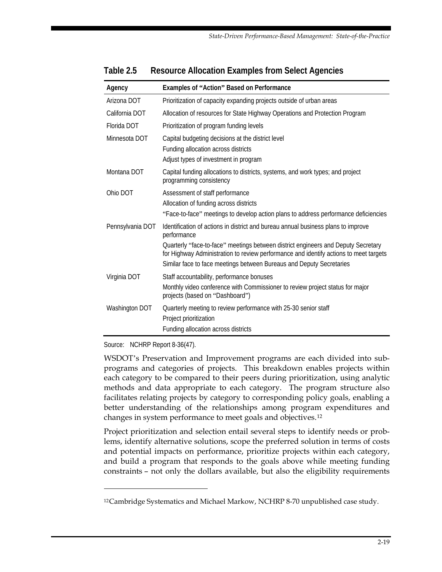| Agency           | Examples of "Action" Based on Performance                                                                                                                                                                                                                                                                                                              |  |  |
|------------------|--------------------------------------------------------------------------------------------------------------------------------------------------------------------------------------------------------------------------------------------------------------------------------------------------------------------------------------------------------|--|--|
| Arizona DOT      | Prioritization of capacity expanding projects outside of urban areas                                                                                                                                                                                                                                                                                   |  |  |
| California DOT   | Allocation of resources for State Highway Operations and Protection Program                                                                                                                                                                                                                                                                            |  |  |
| Florida DOT      | Prioritization of program funding levels                                                                                                                                                                                                                                                                                                               |  |  |
| Minnesota DOT    | Capital budgeting decisions at the district level<br>Funding allocation across districts<br>Adjust types of investment in program                                                                                                                                                                                                                      |  |  |
| Montana DOT      | Capital funding allocations to districts, systems, and work types; and project<br>programming consistency                                                                                                                                                                                                                                              |  |  |
| Ohio DOT         | Assessment of staff performance<br>Allocation of funding across districts<br>"Face-to-face" meetings to develop action plans to address performance deficiencies                                                                                                                                                                                       |  |  |
| Pennsylvania DOT | Identification of actions in district and bureau annual business plans to improve<br>performance<br>Quarterly "face-to-face" meetings between district engineers and Deputy Secretary<br>for Highway Administration to review performance and identify actions to meet targets<br>Similar face to face meetings between Bureaus and Deputy Secretaries |  |  |
| Virginia DOT     | Staff accountability, performance bonuses<br>Monthly video conference with Commissioner to review project status for major<br>projects (based on "Dashboard")                                                                                                                                                                                          |  |  |
| Washington DOT   | Quarterly meeting to review performance with 25-30 senior staff<br>Project prioritization<br>Funding allocation across districts                                                                                                                                                                                                                       |  |  |

#### <span id="page-36-0"></span>**Table 2.5 Resource Allocation Examples from Select Agencies**

Source: NCHRP Report 8-36(47).

 $\ddot{\phantom{a}}$ 

WSDOT's Preservation and Improvement programs are each divided into subprograms and categories of projects. This breakdown enables projects within each category to be compared to their peers during prioritization, using analytic methods and data appropriate to each category. The program structure also facilitates relating projects by category to corresponding policy goals, enabling a better understanding of the relationships among program expenditures and changes in system performance to meet goals and objectives.[12](#page-36-1)

Project prioritization and selection entail several steps to identify needs or problems, identify alternative solutions, scope the preferred solution in terms of costs and potential impacts on performance, prioritize projects within each category, and build a program that responds to the goals above while meeting funding constraints – not only the dollars available, but also the eligibility requirements

<span id="page-36-1"></span><sup>12</sup> Cambridge Systematics and Michael Markow, NCHRP 8-70 unpublished case study.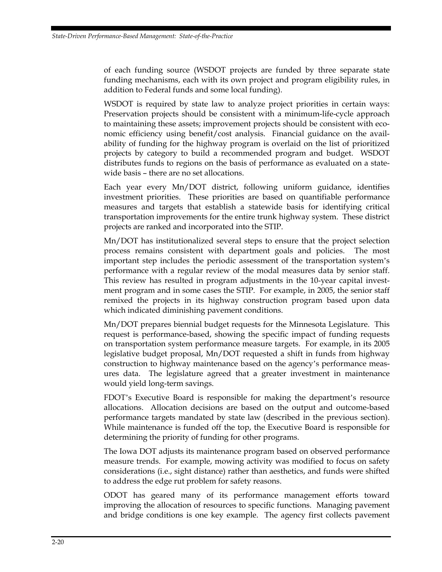of each funding source (WSDOT projects are funded by three separate state funding mechanisms, each with its own project and program eligibility rules, in addition to Federal funds and some local funding).

WSDOT is required by state law to analyze project priorities in certain ways: Preservation projects should be consistent with a minimum-life-cycle approach to maintaining these assets; improvement projects should be consistent with economic efficiency using benefit/cost analysis. Financial guidance on the availability of funding for the highway program is overlaid on the list of prioritized projects by category to build a recommended program and budget. WSDOT distributes funds to regions on the basis of performance as evaluated on a statewide basis – there are no set allocations.

Each year every Mn/DOT district, following uniform guidance, identifies investment priorities. These priorities are based on quantifiable performance measures and targets that establish a statewide basis for identifying critical transportation improvements for the entire trunk highway system. These district projects are ranked and incorporated into the STIP.

Mn/DOT has institutionalized several steps to ensure that the project selection process remains consistent with department goals and policies. The most important step includes the periodic assessment of the transportation system's performance with a regular review of the modal measures data by senior staff. This review has resulted in program adjustments in the 10-year capital investment program and in some cases the STIP. For example, in 2005, the senior staff remixed the projects in its highway construction program based upon data which indicated diminishing pavement conditions.

Mn/DOT prepares biennial budget requests for the Minnesota Legislature. This request is performance-based, showing the specific impact of funding requests on transportation system performance measure targets. For example, in its 2005 legislative budget proposal, Mn/DOT requested a shift in funds from highway construction to highway maintenance based on the agency's performance measures data. The legislature agreed that a greater investment in maintenance would yield long-term savings.

FDOT's Executive Board is responsible for making the department's resource allocations. Allocation decisions are based on the output and outcome-based performance targets mandated by state law (described in the previous section). While maintenance is funded off the top, the Executive Board is responsible for determining the priority of funding for other programs.

The Iowa DOT adjusts its maintenance program based on observed performance measure trends. For example, mowing activity was modified to focus on safety considerations (i.e., sight distance) rather than aesthetics, and funds were shifted to address the edge rut problem for safety reasons.

ODOT has geared many of its performance management efforts toward improving the allocation of resources to specific functions. Managing pavement and bridge conditions is one key example. The agency first collects pavement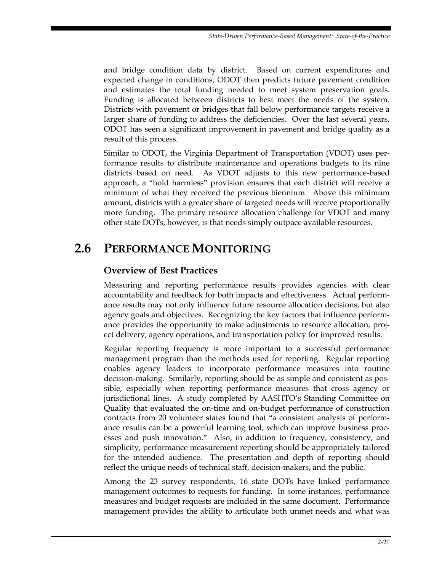<span id="page-38-0"></span>and bridge condition data by district. Based on current expenditures and expected change in conditions, ODOT then predicts future pavement condition and estimates the total funding needed to meet system preservation goals. Funding is allocated between districts to best meet the needs of the system. Districts with pavement or bridges that fall below performance targets receive a larger share of funding to address the deficiencies. Over the last several years, ODOT has seen a significant improvement in pavement and bridge quality as a result of this process.

Similar to ODOT, the Virginia Department of Transportation (VDOT) uses performance results to distribute maintenance and operations budgets to its nine districts based on need. As VDOT adjusts to this new performance-based approach, a "hold harmless" provision ensures that each district will receive a minimum of what they received the previous biennium. Above this minimum amount, districts with a greater share of targeted needs will receive proportionally more funding. The primary resource allocation challenge for VDOT and many other state DOTs, however, is that needs simply outpace available resources.

## **2.6 PERFORMANCE MONITORING**

#### **Overview of Best Practices**

Measuring and reporting performance results provides agencies with clear accountability and feedback for both impacts and effectiveness. Actual performance results may not only influence future resource allocation decisions, but also agency goals and objectives. Recognizing the key factors that influence performance provides the opportunity to make adjustments to resource allocation, project delivery, agency operations, and transportation policy for improved results.

Regular reporting frequency is more important to a successful performance management program than the methods used for reporting. Regular reporting enables agency leaders to incorporate performance measures into routine decision-making. Similarly, reporting should be as simple and consistent as possible, especially when reporting performance measures that cross agency or jurisdictional lines. A study completed by AASHTO's Standing Committee on Quality that evaluated the on-time and on-budget performance of construction contracts from 20 volunteer states found that "a consistent analysis of performance results can be a powerful learning tool, which can improve business processes and push innovation." Also, in addition to frequency, consistency, and simplicity, performance measurement reporting should be appropriately tailored for the intended audience. The presentation and depth of reporting should reflect the unique needs of technical staff, decision-makers, and the public.

Among the 23 survey respondents, 16 state DOTs have linked performance management outcomes to requests for funding. In some instances, performance measures and budget requests are included in the same document. Performance management provides the ability to articulate both unmet needs and what was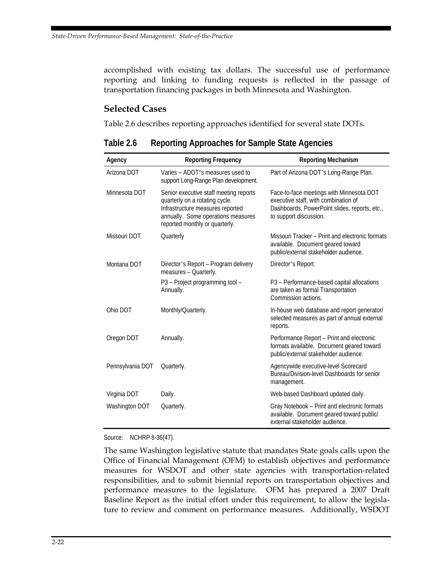<span id="page-39-0"></span>accomplished with existing tax dollars. The successful use of performance reporting and linking to funding requests is reflected in the passage of transportation financing packages in both Minnesota and Washington.

#### **Selected Cases**

Table 2.6 describes reporting approaches identified for several state DOTs*.*

| Agency           | <b>Reporting Frequency</b>                                                                                                                                                           | <b>Reporting Mechanism</b>                                                                                                                                  |
|------------------|--------------------------------------------------------------------------------------------------------------------------------------------------------------------------------------|-------------------------------------------------------------------------------------------------------------------------------------------------------------|
| Arizona DOT      | Varies - ADOT's measures used to<br>support Long-Range Plan development.                                                                                                             | Part of Arizona DOT's Long-Range Plan.                                                                                                                      |
| Minnesota DOT    | Senior executive staff meeting reports<br>quarterly on a rotating cycle.<br>Infrastructure measures reported<br>annually. Some operations measures<br>reported monthly or quarterly. | Face-to-face meetings with Minnesota DOT<br>executive staff, with combination of<br>Dashboards, PowerPoint slides, reports, etc.,<br>to support discussion. |
| Missouri DOT     | Quarterly                                                                                                                                                                            | Missouri Tracker – Print and electronic formats<br>available. Document geared toward<br>public/external stakeholder audience.                               |
| Montana DOT      | Director's Report – Program delivery<br>measures - Quarterly.                                                                                                                        | Director's Report.                                                                                                                                          |
|                  | P3 - Project programming tool -<br>Annually.                                                                                                                                         | P3 - Performance-based capital allocations<br>are taken as formal Transportation<br>Commission actions.                                                     |
| Ohio DOT         | Monthly/Quarterly.                                                                                                                                                                   | In-house web database and report generator/<br>selected measures as part of annual external<br>reports.                                                     |
| Oregon DOT       | Annually.                                                                                                                                                                            | Performance Report - Print and electronic<br>formats available. Document geared toward<br>public/external stakeholder audience.                             |
| Pennsylvania DOT | Quarterly.                                                                                                                                                                           | Agencywide executive-level Scorecard<br>Bureau/Division-level Dashboards for senior<br>management.                                                          |
| Virginia DOT     | Daily.                                                                                                                                                                               | Web-based Dashboard updated daily.                                                                                                                          |
| Washington DOT   | Quarterly.                                                                                                                                                                           | Gray Notebook - Print and electronic formats<br>available. Document geared toward public/<br>external stakeholder audience.                                 |

**Table 2.6 Reporting Approaches for Sample State Agencies** 

Source: NCHRP 8-36(47).

The same Washington legislative statute that mandates State goals calls upon the Office of Financial Management (OFM) to establish objectives and performance measures for WSDOT and other state agencies with transportation-related responsibilities, and to submit biennial reports on transportation objectives and performance measures to the legislature. OFM has prepared a 2007 Draft Baseline Report as the initial effort under this requirement, to allow the legislature to review and comment on performance measures. Additionally, WSDOT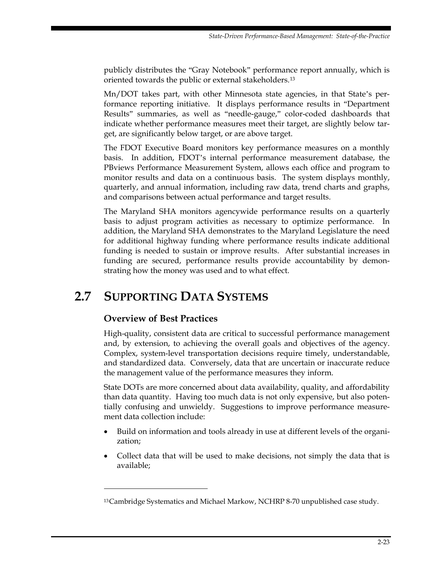<span id="page-40-0"></span>publicly distributes the "Gray Notebook" performance report annually, which is oriented towards the public or external stakeholders.[13](#page-40-1)

Mn/DOT takes part, with other Minnesota state agencies, in that State's performance reporting initiative. It displays performance results in "Department Results" summaries, as well as "needle-gauge," color-coded dashboards that indicate whether performance measures meet their target, are slightly below target, are significantly below target, or are above target.

The FDOT Executive Board monitors key performance measures on a monthly basis. In addition, FDOT's internal performance measurement database, the PBviews Performance Measurement System, allows each office and program to monitor results and data on a continuous basis. The system displays monthly, quarterly, and annual information, including raw data, trend charts and graphs, and comparisons between actual performance and target results.

The Maryland SHA monitors agencywide performance results on a quarterly basis to adjust program activities as necessary to optimize performance. In addition, the Maryland SHA demonstrates to the Maryland Legislature the need for additional highway funding where performance results indicate additional funding is needed to sustain or improve results. After substantial increases in funding are secured, performance results provide accountability by demonstrating how the money was used and to what effect.

## **2.7 SUPPORTING DATA SYSTEMS**

#### **Overview of Best Practices**

 $\ddot{\phantom{a}}$ 

High-quality, consistent data are critical to successful performance management and, by extension, to achieving the overall goals and objectives of the agency. Complex, system-level transportation decisions require timely, understandable, and standardized data. Conversely, data that are uncertain or inaccurate reduce the management value of the performance measures they inform.

State DOTs are more concerned about data availability, quality, and affordability than data quantity. Having too much data is not only expensive, but also potentially confusing and unwieldy. Suggestions to improve performance measurement data collection include:

- Build on information and tools already in use at different levels of the organization;
- Collect data that will be used to make decisions, not simply the data that is available;

<span id="page-40-1"></span><sup>13</sup> Cambridge Systematics and Michael Markow, NCHRP 8-70 unpublished case study.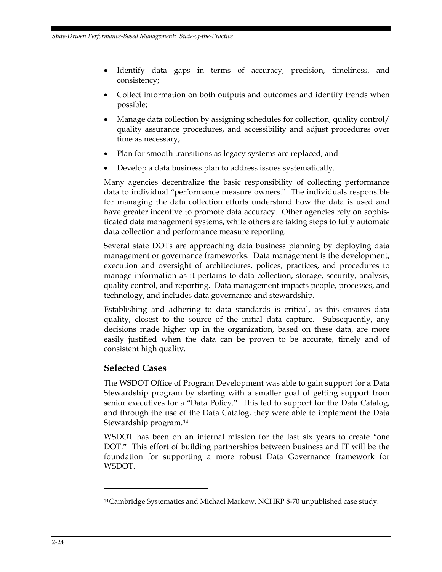- Identify data gaps in terms of accuracy, precision, timeliness, and consistency;
- Collect information on both outputs and outcomes and identify trends when possible;
- Manage data collection by assigning schedules for collection, quality control/ quality assurance procedures, and accessibility and adjust procedures over time as necessary;
- Plan for smooth transitions as legacy systems are replaced; and
- Develop a data business plan to address issues systematically.

Many agencies decentralize the basic responsibility of collecting performance data to individual "performance measure owners." The individuals responsible for managing the data collection efforts understand how the data is used and have greater incentive to promote data accuracy. Other agencies rely on sophisticated data management systems, while others are taking steps to fully automate data collection and performance measure reporting.

Several state DOTs are approaching data business planning by deploying data management or governance frameworks. Data management is the development, execution and oversight of architectures, polices, practices, and procedures to manage information as it pertains to data collection, storage, security, analysis, quality control, and reporting. Data management impacts people, processes, and technology, and includes data governance and stewardship.

Establishing and adhering to data standards is critical, as this ensures data quality, closest to the source of the initial data capture. Subsequently, any decisions made higher up in the organization, based on these data, are more easily justified when the data can be proven to be accurate, timely and of consistent high quality.

#### **Selected Cases**

 $\ddot{\phantom{a}}$ 

The WSDOT Office of Program Development was able to gain support for a Data Stewardship program by starting with a smaller goal of getting support from senior executives for a "Data Policy." This led to support for the Data Catalog, and through the use of the Data Catalog, they were able to implement the Data Stewardship program.[14](#page-41-0)

WSDOT has been on an internal mission for the last six years to create "one DOT." This effort of building partnerships between business and IT will be the foundation for supporting a more robust Data Governance framework for WSDOT.

<span id="page-41-0"></span><sup>14</sup> Cambridge Systematics and Michael Markow, NCHRP 8-70 unpublished case study.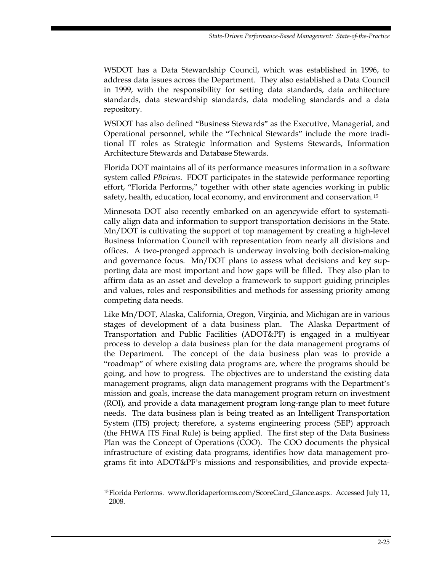WSDOT has a Data Stewardship Council, which was established in 1996, to address data issues across the Department. They also established a Data Council in 1999, with the responsibility for setting data standards, data architecture standards, data stewardship standards, data modeling standards and a data repository.

WSDOT has also defined "Business Stewards" as the Executive, Managerial, and Operational personnel, while the "Technical Stewards" include the more traditional IT roles as Strategic Information and Systems Stewards, Information Architecture Stewards and Database Stewards.

Florida DOT maintains all of its performance measures information in a software system called *PBviews*. FDOT participates in the statewide performance reporting effort, "Florida Performs," together with other state agencies working in public safety, health, education, local economy, and environment and conservation.[15](#page-42-0)

Minnesota DOT also recently embarked on an agencywide effort to systematically align data and information to support transportation decisions in the State. Mn/DOT is cultivating the support of top management by creating a high-level Business Information Council with representation from nearly all divisions and offices. A two-pronged approach is underway involving both decision-making and governance focus. Mn/DOT plans to assess what decisions and key supporting data are most important and how gaps will be filled. They also plan to affirm data as an asset and develop a framework to support guiding principles and values, roles and responsibilities and methods for assessing priority among competing data needs.

Like Mn/DOT, Alaska, California, Oregon, Virginia, and Michigan are in various stages of development of a data business plan. The Alaska Department of Transportation and Public Facilities (ADOT&PF) is engaged in a multiyear process to develop a data business plan for the data management programs of the Department. The concept of the data business plan was to provide a "roadmap" of where existing data programs are, where the programs should be going, and how to progress. The objectives are to understand the existing data management programs, align data management programs with the Department's mission and goals, increase the data management program return on investment (ROI), and provide a data management program long-range plan to meet future needs. The data business plan is being treated as an Intelligent Transportation System (ITS) project; therefore, a systems engineering process (SEP) approach (the FHWA ITS Final Rule) is being applied. The first step of the Data Business Plan was the Concept of Operations (COO). The COO documents the physical infrastructure of existing data programs, identifies how data management programs fit into ADOT&PF's missions and responsibilities, and provide expecta-

<u>.</u>

<span id="page-42-0"></span><sup>15</sup> Florida Performs. www.floridaperforms.com/ScoreCard\_Glance.aspx. Accessed July 11, 2008.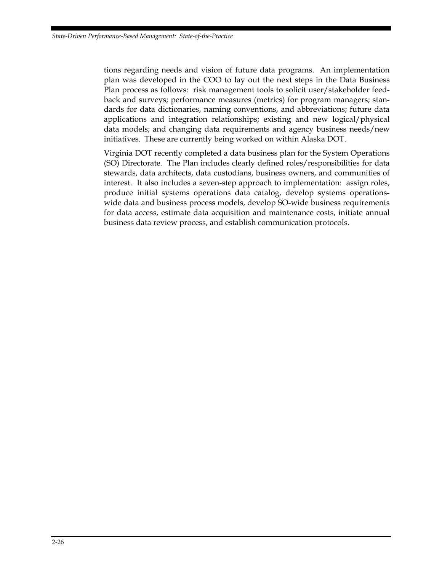tions regarding needs and vision of future data programs. An implementation plan was developed in the COO to lay out the next steps in the Data Business Plan process as follows: risk management tools to solicit user/stakeholder feedback and surveys; performance measures (metrics) for program managers; standards for data dictionaries, naming conventions, and abbreviations; future data applications and integration relationships; existing and new logical/physical data models; and changing data requirements and agency business needs/new initiatives. These are currently being worked on within Alaska DOT.

Virginia DOT recently completed a data business plan for the System Operations (SO) Directorate. The Plan includes clearly defined roles/responsibilities for data stewards, data architects, data custodians, business owners, and communities of interest. It also includes a seven-step approach to implementation: assign roles, produce initial systems operations data catalog, develop systems operationswide data and business process models, develop SO-wide business requirements for data access, estimate data acquisition and maintenance costs, initiate annual business data review process, and establish communication protocols.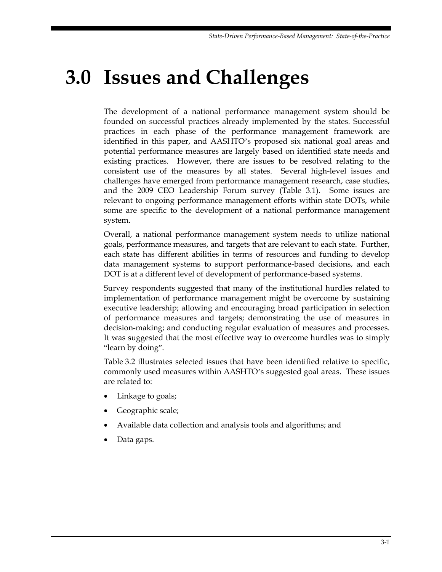# <span id="page-44-0"></span>**3.0 Issues and Challenges**

The development of a national performance management system should be founded on successful practices already implemented by the states. Successful practices in each phase of the performance management framework are identified in this paper, and AASHTO's proposed six national goal areas and potential performance measures are largely based on identified state needs and existing practices. However, there are issues to be resolved relating to the consistent use of the measures by all states. Several high-level issues and challenges have emerged from performance management research, case studies, and the 2009 CEO Leadership Forum survey (Table 3.1). Some issues are relevant to ongoing performance management efforts within state DOTs, while some are specific to the development of a national performance management system.

Overall, a national performance management system needs to utilize national goals, performance measures, and targets that are relevant to each state. Further, each state has different abilities in terms of resources and funding to develop data management systems to support performance-based decisions, and each DOT is at a different level of development of performance-based systems.

Survey respondents suggested that many of the institutional hurdles related to implementation of performance management might be overcome by sustaining executive leadership; allowing and encouraging broad participation in selection of performance measures and targets; demonstrating the use of measures in decision-making; and conducting regular evaluation of measures and processes. It was suggested that the most effective way to overcome hurdles was to simply "learn by doing".

Table 3.2 illustrates selected issues that have been identified relative to specific, commonly used measures within AASHTO's suggested goal areas. These issues are related to:

- Linkage to goals;
- Geographic scale;
- Available data collection and analysis tools and algorithms; and
- Data gaps.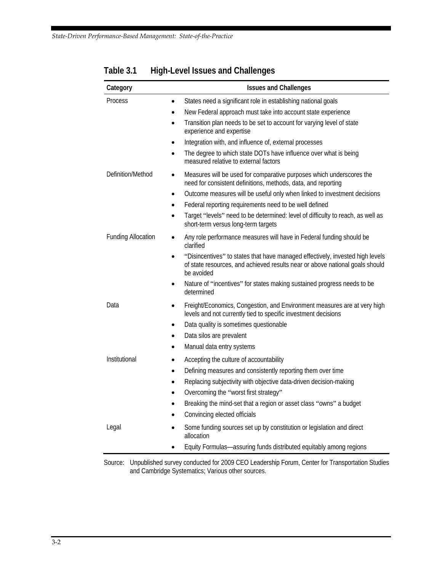| Category                  | <b>Issues and Challenges</b>                                                                                                                                                |
|---------------------------|-----------------------------------------------------------------------------------------------------------------------------------------------------------------------------|
| Process                   | States need a significant role in establishing national goals<br>٠                                                                                                          |
|                           | New Federal approach must take into account state experience<br>٠                                                                                                           |
|                           | Transition plan needs to be set to account for varying level of state<br>$\bullet$<br>experience and expertise                                                              |
|                           | Integration with, and influence of, external processes<br>٠                                                                                                                 |
|                           | The degree to which state DOTs have influence over what is being<br>measured relative to external factors                                                                   |
| Definition/Method         | Measures will be used for comparative purposes which underscores the<br>٠<br>need for consistent definitions, methods, data, and reporting                                  |
|                           | Outcome measures will be useful only when linked to investment decisions<br>٠                                                                                               |
|                           | Federal reporting requirements need to be well defined                                                                                                                      |
|                           | Target "levels" need to be determined: level of difficulty to reach, as well as<br>short-term versus long-term targets                                                      |
| <b>Funding Allocation</b> | Any role performance measures will have in Federal funding should be<br>$\bullet$<br>clarified                                                                              |
|                           | "Disincentives" to states that have managed effectively, invested high levels<br>of state resources, and achieved results near or above national goals should<br>be avoided |
|                           | Nature of "incentives" for states making sustained progress needs to be<br>determined                                                                                       |
| Data                      | Freight/Economics, Congestion, and Environment measures are at very high<br>$\bullet$<br>levels and not currently tied to specific investment decisions                     |
|                           | Data quality is sometimes questionable<br>$\bullet$                                                                                                                         |
|                           | Data silos are prevalent<br>٠                                                                                                                                               |
|                           | Manual data entry systems<br>٠                                                                                                                                              |
| Institutional             | Accepting the culture of accountability<br>٠                                                                                                                                |
|                           | Defining measures and consistently reporting them over time<br>$\bullet$                                                                                                    |
|                           | Replacing subjectivity with objective data-driven decision-making<br>$\bullet$                                                                                              |
|                           | Overcoming the "worst first strategy"                                                                                                                                       |
|                           | Breaking the mind-set that a region or asset class "owns" a budget                                                                                                          |
|                           | Convincing elected officials                                                                                                                                                |
| Legal                     | Some funding sources set up by constitution or legislation and direct<br>allocation                                                                                         |
|                           | Equity Formulas-assuring funds distributed equitably among regions                                                                                                          |

### <span id="page-45-0"></span>**Table 3.1 High-Level Issues and Challenges**

Source: Unpublished survey conducted for 2009 CEO Leadership Forum, Center for Transportation Studies and Cambridge Systematics; Various other sources.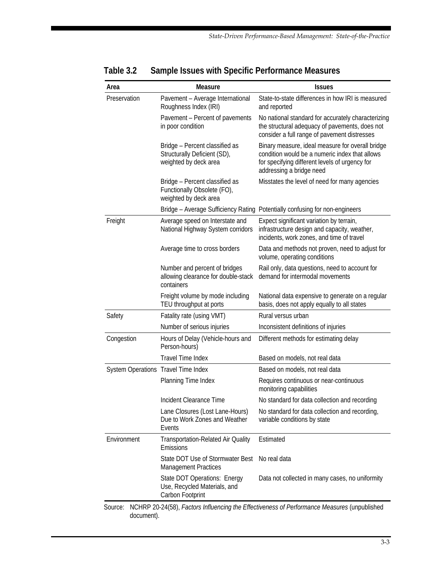| Pavement - Average International<br>Roughness Index (IRI)<br>Pavement - Percent of pavements<br>in poor condition<br>Bridge - Percent classified as | State-to-state differences in how IRI is measured<br>and reported<br>No national standard for accurately characterizing<br>the structural adequacy of pavements, does not<br>consider a full range of pavement distresses |
|-----------------------------------------------------------------------------------------------------------------------------------------------------|---------------------------------------------------------------------------------------------------------------------------------------------------------------------------------------------------------------------------|
|                                                                                                                                                     |                                                                                                                                                                                                                           |
|                                                                                                                                                     |                                                                                                                                                                                                                           |
| weighted by deck area                                                                                                                               | Binary measure, ideal measure for overall bridge<br>condition would be a numeric index that allows<br>for specifying different levels of urgency for<br>addressing a bridge need                                          |
| Bridge - Percent classified as<br>Functionally Obsolete (FO),<br>weighted by deck area                                                              | Misstates the level of need for many agencies                                                                                                                                                                             |
| Bridge - Average Sufficiency Rating                                                                                                                 | Potentially confusing for non-engineers                                                                                                                                                                                   |
| Average speed on Interstate and<br>National Highway System corridors                                                                                | Expect significant variation by terrain,<br>infrastructure design and capacity, weather,<br>incidents, work zones, and time of travel                                                                                     |
| Average time to cross borders                                                                                                                       | Data and methods not proven, need to adjust for<br>volume, operating conditions                                                                                                                                           |
| Number and percent of bridges<br>allowing clearance for double-stack<br>containers                                                                  | Rail only, data questions, need to account for<br>demand for intermodal movements                                                                                                                                         |
| Freight volume by mode including<br>TEU throughput at ports                                                                                         | National data expensive to generate on a regular<br>basis, does not apply equally to all states                                                                                                                           |
| Fatality rate (using VMT)                                                                                                                           | Rural versus urban                                                                                                                                                                                                        |
| Number of serious injuries                                                                                                                          | Inconsistent definitions of injuries                                                                                                                                                                                      |
| Hours of Delay (Vehicle-hours and<br>Person-hours)                                                                                                  | Different methods for estimating delay                                                                                                                                                                                    |
| <b>Travel Time Index</b>                                                                                                                            | Based on models, not real data                                                                                                                                                                                            |
| System Operations Travel Time Index                                                                                                                 | Based on models, not real data                                                                                                                                                                                            |
| Planning Time Index                                                                                                                                 | Requires continuous or near-continuous<br>monitoring capabilities                                                                                                                                                         |
| Incident Clearance Time                                                                                                                             | No standard for data collection and recording                                                                                                                                                                             |
| Lane Closures (Lost Lane-Hours)<br>Due to Work Zones and Weather<br>Events                                                                          | No standard for data collection and recording,<br>variable conditions by state                                                                                                                                            |
| Transportation-Related Air Quality<br>Emissions                                                                                                     | Estimated                                                                                                                                                                                                                 |
| State DOT Use of Stormwater Best<br><b>Management Practices</b>                                                                                     | No real data                                                                                                                                                                                                              |
| State DOT Operations: Energy<br>Use, Recycled Materials, and<br>Carbon Footprint                                                                    | Data not collected in many cases, no uniformity                                                                                                                                                                           |
|                                                                                                                                                     | Structurally Deficient (SD),                                                                                                                                                                                              |

#### **Table 3.2 Sample Issues with Specific Performance Measures**

Source: NCHRP 20-24(58), *Factors Influencing the Effectiveness of Performance Measures* (unpublished document).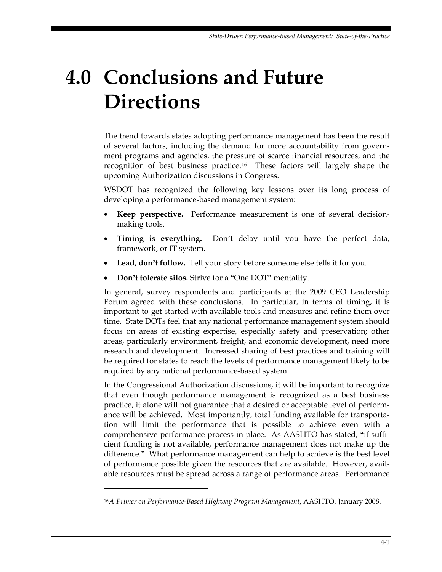# <span id="page-48-0"></span>**4.0 Conclusions and Future Directions**

The trend towards states adopting performance management has been the result of several factors, including the demand for more accountability from government programs and agencies, the pressure of scarce financial resources, and the recognition of best business practice.[16](#page-48-1) These factors will largely shape the upcoming Authorization discussions in Congress.

WSDOT has recognized the following key lessons over its long process of developing a performance-based management system:

- **Keep perspective.** Performance measurement is one of several decisionmaking tools.
- **Timing is everything.** Don't delay until you have the perfect data, framework, or IT system.
- **Lead, don't follow.** Tell your story before someone else tells it for you.
- **Don't tolerate silos.** Strive for a "One DOT" mentality.

In general, survey respondents and participants at the 2009 CEO Leadership Forum agreed with these conclusions. In particular, in terms of timing, it is important to get started with available tools and measures and refine them over time. State DOTs feel that any national performance management system should focus on areas of existing expertise, especially safety and preservation; other areas, particularly environment, freight, and economic development, need more research and development. Increased sharing of best practices and training will be required for states to reach the levels of performance management likely to be required by any national performance-based system.

In the Congressional Authorization discussions, it will be important to recognize that even though performance management is recognized as a best business practice, it alone will not guarantee that a desired or acceptable level of performance will be achieved. Most importantly, total funding available for transportation will limit the performance that is possible to achieve even with a comprehensive performance process in place. As AASHTO has stated, "if sufficient funding is not available, performance management does not make up the difference." What performance management can help to achieve is the best level of performance possible given the resources that are available. However, available resources must be spread across a range of performance areas. Performance

-

<span id="page-48-1"></span><sup>16</sup>*A Primer on Performance-Based Highway Program Management*, AASHTO, January 2008.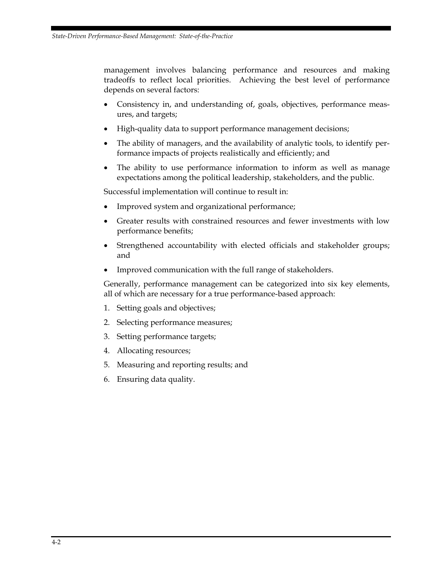management involves balancing performance and resources and making tradeoffs to reflect local priorities. Achieving the best level of performance depends on several factors:

- Consistency in, and understanding of, goals, objectives, performance measures, and targets;
- High-quality data to support performance management decisions;
- The ability of managers, and the availability of analytic tools, to identify performance impacts of projects realistically and efficiently; and
- The ability to use performance information to inform as well as manage expectations among the political leadership, stakeholders, and the public.

Successful implementation will continue to result in:

- Improved system and organizational performance;
- Greater results with constrained resources and fewer investments with low performance benefits;
- Strengthened accountability with elected officials and stakeholder groups; and
- Improved communication with the full range of stakeholders.

Generally, performance management can be categorized into six key elements, all of which are necessary for a true performance-based approach:

- 1. Setting goals and objectives;
- 2. Selecting performance measures;
- 3. Setting performance targets;
- 4. Allocating resources;
- 5. Measuring and reporting results; and
- 6. Ensuring data quality.